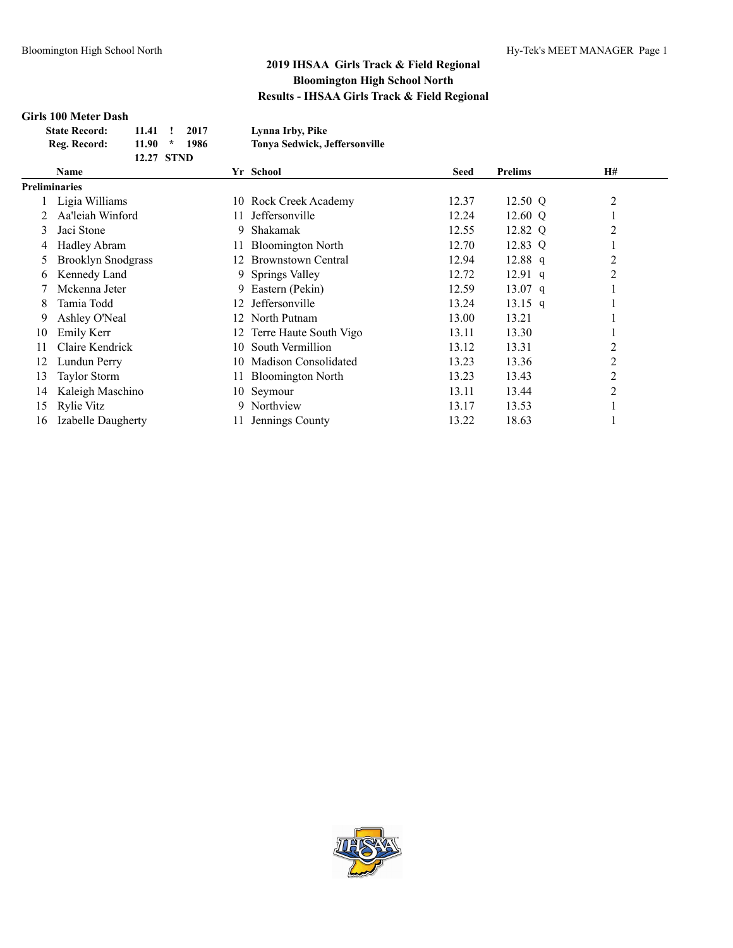#### **Girls 100 Meter Dash**

| <b>State Record:</b> | 11.41            | 2017 | Lynna Irby, Pike                     |
|----------------------|------------------|------|--------------------------------------|
| Reg. Record:         | 11.90<br>$\star$ | 1986 | <b>Tonya Sedwick, Jeffersonville</b> |
|                      | 12.27 STND       |      |                                      |

|                      | Name                      |     | Yr School                 | <b>Seed</b> | <b>Prelims</b> | H#             |  |
|----------------------|---------------------------|-----|---------------------------|-------------|----------------|----------------|--|
| <b>Preliminaries</b> |                           |     |                           |             |                |                |  |
|                      | Ligia Williams            |     | 10 Rock Creek Academy     | 12.37       | 12.50 Q        | $\overline{c}$ |  |
|                      | Aa'leiah Winford          |     | Jeffersonville            | 12.24       | 12.60 Q        |                |  |
| 3                    | Jaci Stone                | 9.  | Shakamak                  | 12.55       | 12.82 Q        | 2              |  |
| 4                    | <b>Hadley Abram</b>       | 11. | <b>Bloomington North</b>  | 12.70       | 12.83 Q        |                |  |
| 5                    | <b>Brooklyn Snodgrass</b> | 12. | <b>Brownstown Central</b> | 12.94       | $12.88$ q      | 2              |  |
| 6                    | Kennedy Land              |     | 9 Springs Valley          | 12.72       | $12.91$ q      | 2              |  |
|                      | Mckenna Jeter             | 9.  | Eastern (Pekin)           | 12.59       | $13.07$ q      |                |  |
| 8                    | Tamia Todd                | 12. | Jeffersonville            | 13.24       | $13.15$ q      |                |  |
| 9                    | Ashley O'Neal             | 12. | North Putnam              | 13.00       | 13.21          |                |  |
| 10                   | Emily Kerr                |     | 12 Terre Haute South Vigo | 13.11       | 13.30          |                |  |
| 11                   | Claire Kendrick           | 10. | South Vermillion          | 13.12       | 13.31          | 2              |  |
| 12                   | Lundun Perry              | 10  | Madison Consolidated      | 13.23       | 13.36          | 2              |  |
| 13                   | <b>Taylor Storm</b>       | 11. | <b>Bloomington North</b>  | 13.23       | 13.43          | 2              |  |
| 14                   | Kaleigh Maschino          |     | 10 Seymour                | 13.11       | 13.44          | $\overline{c}$ |  |
| 15                   | Rylie Vitz                | 9   | Northview                 | 13.17       | 13.53          |                |  |
| 16                   | Izabelle Daugherty        |     | Jennings County           | 13.22       | 18.63          |                |  |

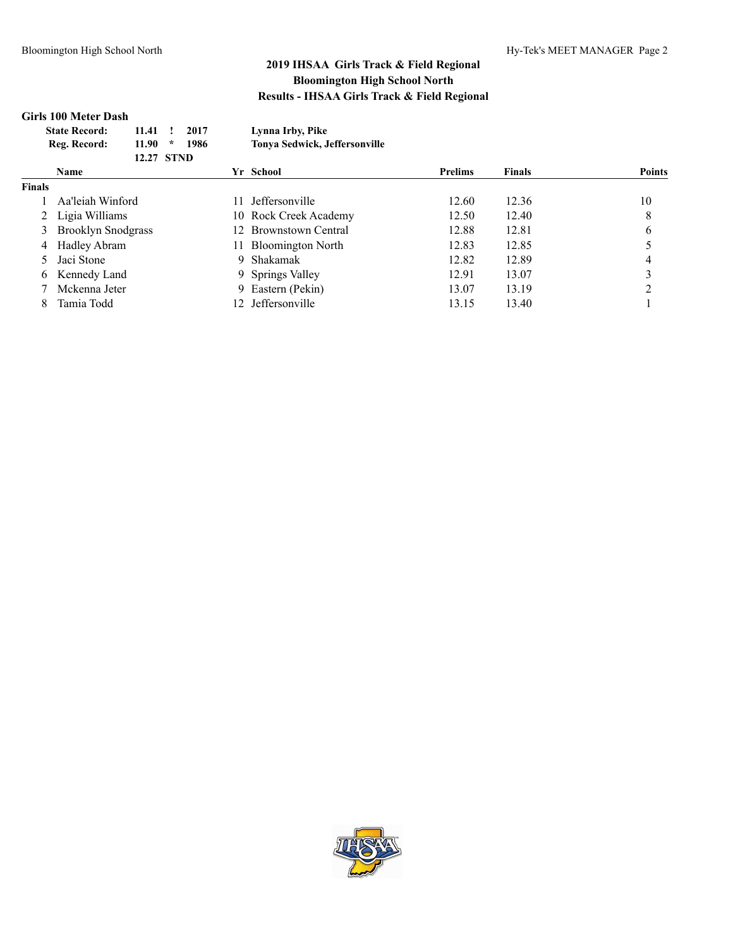# **Girls 100 Meter Dash**

| <b>State Record:</b> | 11.41                  | 2017 | Lynna Irby, Pike              |
|----------------------|------------------------|------|-------------------------------|
| Reg. Record:         | 11.90<br>$\mathcal{R}$ | 1986 | Tonya Sedwick, Jeffersonville |
|                      | 12.27 STND             |      |                               |

|               | <b>Name</b>               |     | Yr School                | <b>Prelims</b> | <b>Finals</b> | <b>Points</b> |
|---------------|---------------------------|-----|--------------------------|----------------|---------------|---------------|
| <b>Finals</b> |                           |     |                          |                |               |               |
|               | Aa'leiah Winford          | 11. | <b>Jeffersonville</b>    | 12.60          | 12.36         | 10            |
|               | 2 Ligia Williams          |     | 10 Rock Creek Academy    | 12.50          | 12.40         | 8             |
|               | <b>Brooklyn Snodgrass</b> |     | 12 Brownstown Central    | 12.88          | 12.81         | 6             |
|               | 4 Hadley Abram            | 11. | <b>Bloomington North</b> | 12.83          | 12.85         |               |
|               | 5 Jaci Stone              |     | 9 Shakamak               | 12.82          | 12.89         |               |
|               | 6 Kennedy Land            |     | 9 Springs Valley         | 12.91          | 13.07         |               |
|               | Mckenna Jeter             |     | 9 Eastern (Pekin)        | 13.07          | 13.19         |               |
|               | Tamia Todd                |     | Jeffersonville           | 13.15          | 13.40         |               |

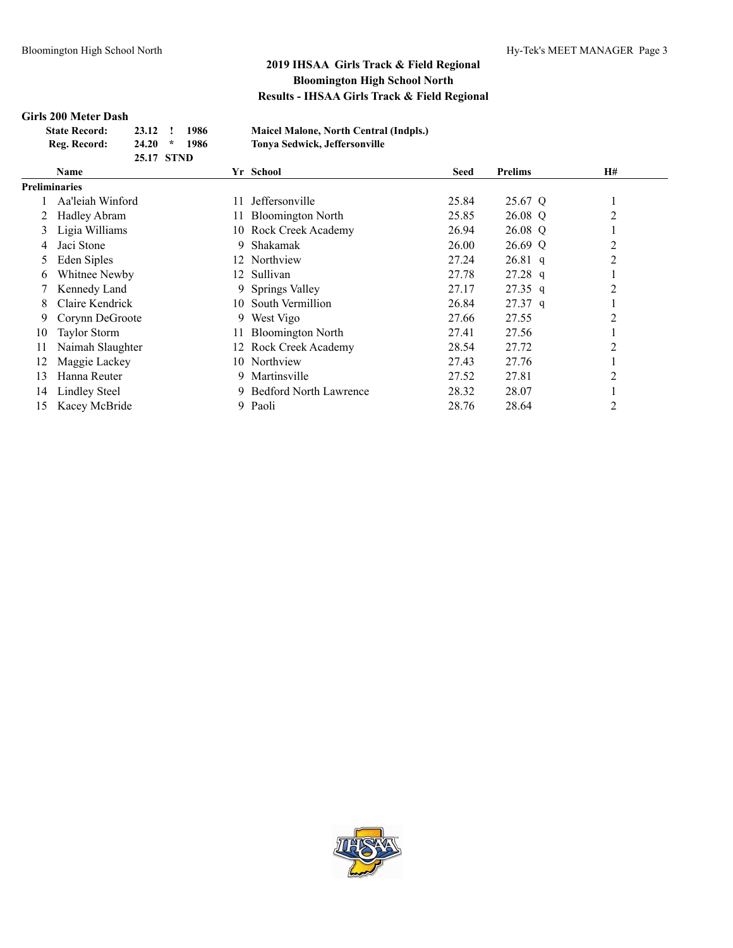#### **Girls 200 Meter Dash**

| <b>State Record:</b> | 23.12 ! 1986 |                | <b>Maicel</b> I |
|----------------------|--------------|----------------|-----------------|
| Reg. Record:         |              | $24.20 * 1986$ | <b>Tonya</b> S  |
|                      | 25.17 STND   |                |                 |

**State Record: 23.12 ! 1986 Maicel Malone, North Central (Indpls.) Reg. Record: 24.20 \* 1986 Tonya Sedwick, Jeffersonville**

|               | <b>Name</b>          |     | Yr School                     | <b>Seed</b> | <b>Prelims</b> | <b>H#</b> |  |
|---------------|----------------------|-----|-------------------------------|-------------|----------------|-----------|--|
| Preliminaries |                      |     |                               |             |                |           |  |
|               | Aa'leiah Winford     | 11  | Jeffersonville                | 25.84       | 25.67 Q        |           |  |
|               | Hadley Abram         |     | 11 Bloomington North          | 25.85       | 26.08 Q        | 2         |  |
| 3             | Ligia Williams       |     | 10 Rock Creek Academy         | 26.94       | 26.08 Q        |           |  |
| 4             | Jaci Stone           | 9.  | Shakamak                      | 26.00       | 26.69 Q        | 2         |  |
| 5             | Eden Siples          | 12  | Northview                     | 27.24       | $26.81$ q      | 2         |  |
| 6             | Whitnee Newby        |     | 12 Sullivan                   | 27.78       | $27.28$ q      |           |  |
|               | Kennedy Land         |     | 9 Springs Valley              | 27.17       | $27.35$ q      | 2         |  |
| 8             | Claire Kendrick      |     | 10 South Vermillion           | 26.84       | $27.37$ q      |           |  |
| 9             | Corynn DeGroote      | 9.  | West Vigo                     | 27.66       | 27.55          | 2         |  |
| 10            | <b>Taylor Storm</b>  | 11. | <b>Bloomington North</b>      | 27.41       | 27.56          |           |  |
| 11            | Naimah Slaughter     |     | 12 Rock Creek Academy         | 28.54       | 27.72          | 2         |  |
| 12            | Maggie Lackey        |     | 10 Northview                  | 27.43       | 27.76          |           |  |
| 13            | Hanna Reuter         | 9.  | Martinsville                  | 27.52       | 27.81          | 2         |  |
| 14            | <b>Lindley Steel</b> | 9.  | <b>Bedford North Lawrence</b> | 28.32       | 28.07          |           |  |
| 15            | Kacey McBride        | 9.  | Paoli                         | 28.76       | 28.64          | 2         |  |

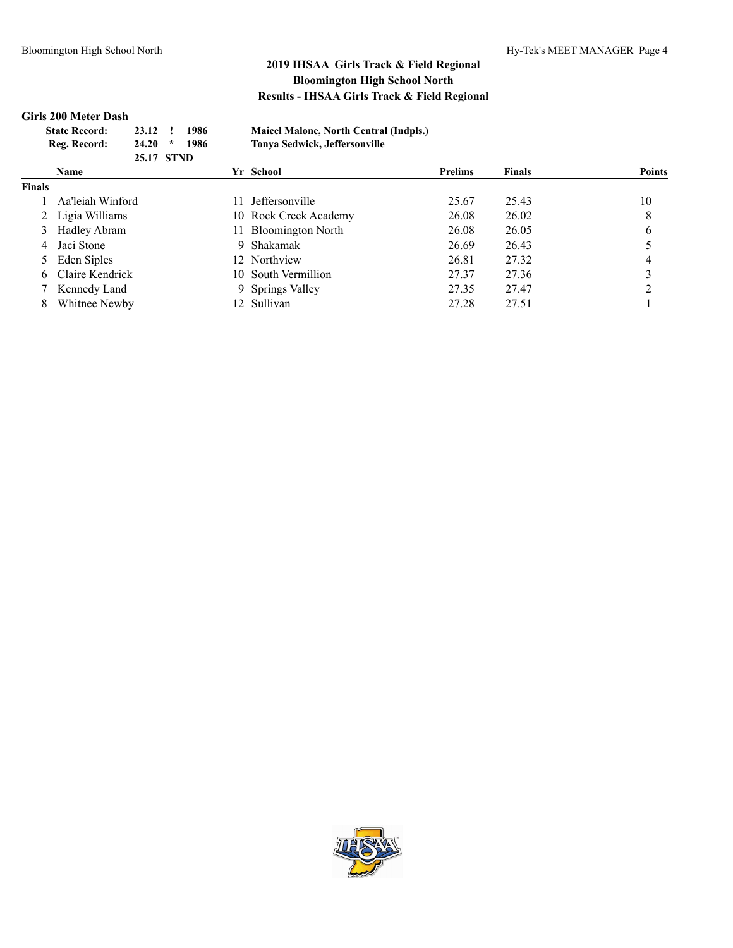#### **Girls 200 Meter Dash**

| <b>State Record:</b> | 1986<br>23.12 !   | <b>Maicel Malone, North Central (Indpls.)</b> |
|----------------------|-------------------|-----------------------------------------------|
| Reg. Record:         | 1986<br>$24.20$ * | Tonya Sedwick, Jeffersonville                 |
|                      | 25.17 STND        |                                               |

|               | Yr School<br>Name |     | <b>Prelims</b>        | <b>Finals</b> | <b>Points</b> |    |
|---------------|-------------------|-----|-----------------------|---------------|---------------|----|
| <b>Finals</b> |                   |     |                       |               |               |    |
|               | Aa'leiah Winford  | 11. | <b>Jeffersonville</b> | 25.67         | 25.43         | 10 |
|               | 2 Ligia Williams  |     | 10 Rock Creek Academy | 26.08         | 26.02         | 8  |
|               | 3 Hadley Abram    |     | 11 Bloomington North  | 26.08         | 26.05         | 6  |
|               | 4 Jaci Stone      |     | 9 Shakamak            | 26.69         | 26.43         |    |
|               | 5 Eden Siples     |     | 12 Northview          | 26.81         | 27.32         |    |
|               | 6 Claire Kendrick |     | 10 South Vermillion   | 27.37         | 27.36         |    |
|               | 7 Kennedy Land    |     | 9 Springs Valley      | 27.35         | 27.47         |    |
|               | Whitnee Newby     |     | 12 Sullivan           | 27.28         | 27.51         |    |

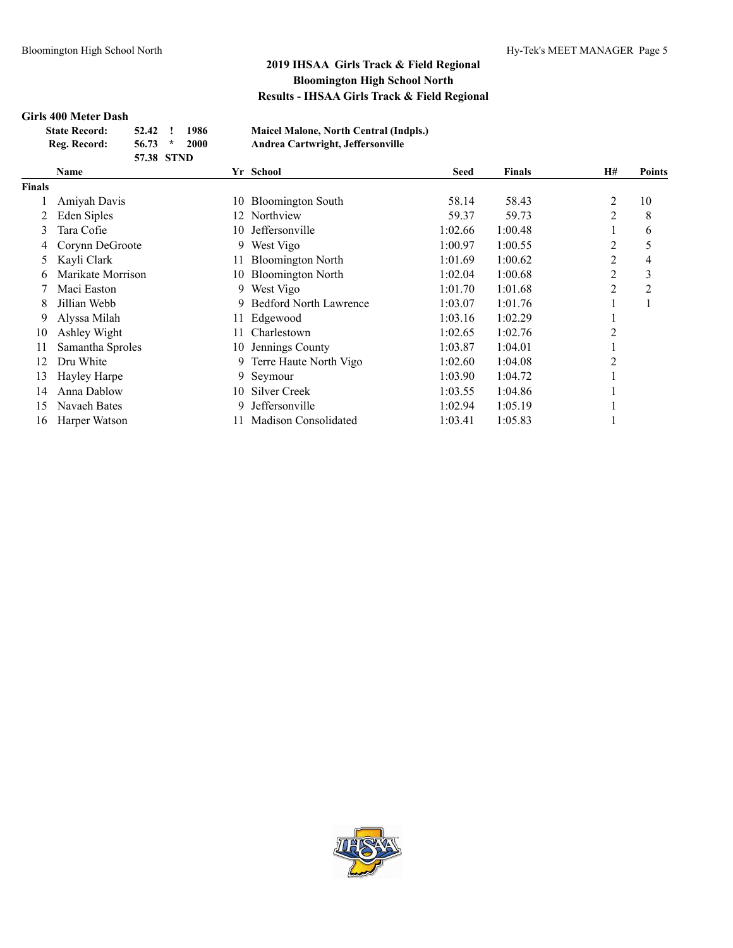#### **Girls 400 Meter Dash**

| <b>State Record:</b> | 52.42      | 1986 | <b>Maicel Malone, North Central (Indpls.)</b> |
|----------------------|------------|------|-----------------------------------------------|
| Reg. Record:         | $56.73$ *  | 2000 | Andrea Cartwright, Jeffersonville             |
|                      | 57.38 STND |      |                                               |

|               | <i>JI J</i> U JIND |     |                               |             |               |                |               |
|---------------|--------------------|-----|-------------------------------|-------------|---------------|----------------|---------------|
|               | Name               |     | Yr School                     | <b>Seed</b> | <b>Finals</b> | H#             | <b>Points</b> |
| <b>Finals</b> |                    |     |                               |             |               |                |               |
|               | Amiyah Davis       | 10  | <b>Bloomington South</b>      | 58.14       | 58.43         | 2              | 10            |
|               | Eden Siples        | 12. | Northview                     | 59.37       | 59.73         | $\overline{c}$ | 8             |
| 3             | Tara Cofie         | 10  | Jeffersonville                | 1:02.66     | 1:00.48       | -              | 6             |
| 4             | Corynn DeGroote    | 9   | West Vigo                     | 1:00.97     | 1:00.55       | 2              | 5             |
|               | Kayli Clark        |     | <b>Bloomington North</b>      | 1:01.69     | 1:00.62       | 2              | 4             |
| 6             | Marikate Morrison  | 10- | <b>Bloomington North</b>      | 1:02.04     | 1:00.68       | $\overline{2}$ | 3             |
|               | Maci Easton        | 9.  | West Vigo                     | 1:01.70     | 1:01.68       | $\overline{2}$ | 2             |
| 8             | Jillian Webb       | 9   | <b>Bedford North Lawrence</b> | 1:03.07     | 1:01.76       |                |               |
| 9             | Alyssa Milah       | 11  | Edgewood                      | 1:03.16     | 1:02.29       |                |               |
| 10            | Ashley Wight       |     | Charlestown                   | 1:02.65     | 1:02.76       | 2              |               |
| 11            | Samantha Sproles   | 10- | Jennings County               | 1:03.87     | 1:04.01       |                |               |
| 12            | Dru White          | 9.  | Terre Haute North Vigo        | 1:02.60     | 1:04.08       | $\overline{2}$ |               |
| 13            | Hayley Harpe       | 9.  | Seymour                       | 1:03.90     | 1:04.72       |                |               |
| 14            | Anna Dablow        | 10. | Silver Creek                  | 1:03.55     | 1:04.86       |                |               |
| 15            | Navaeh Bates       | 9   | Jeffersonville                | 1:02.94     | 1:05.19       |                |               |
| 16            | Harper Watson      |     | Madison Consolidated          | 1:03.41     | 1:05.83       |                |               |

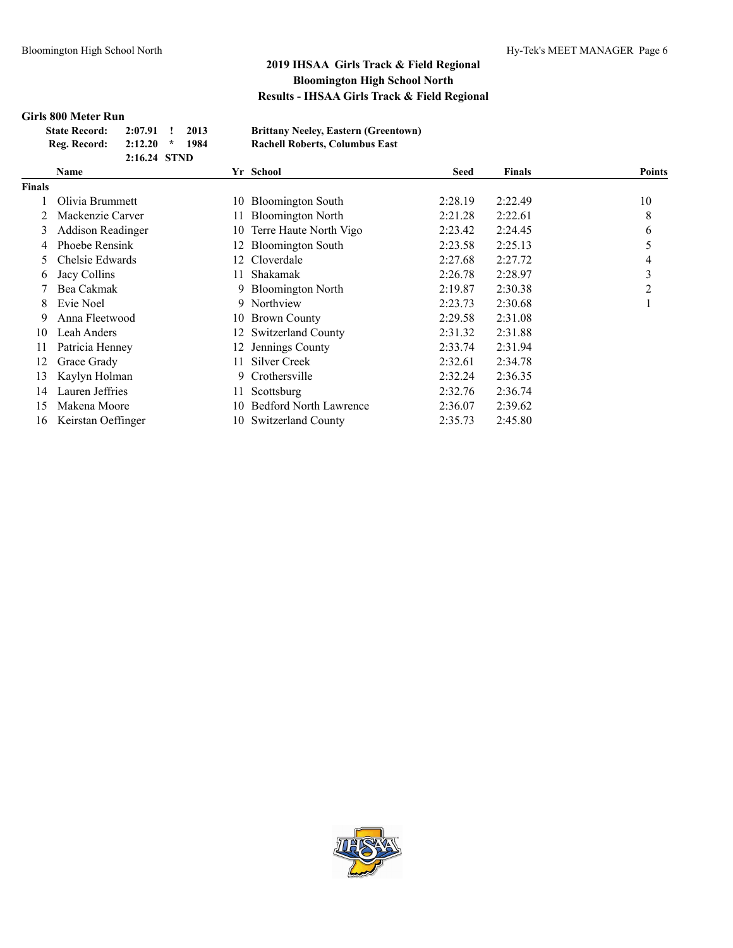### **Girls 800 Meter Run**

| <b>State Record:</b> | $2:07.91$ !  | 2013 | <b>Brittany Neeley, Eastern (Greentown)</b> |
|----------------------|--------------|------|---------------------------------------------|
| Reg. Record:         | $2:12.20$ *  | 1984 | <b>Rachell Roberts, Columbus East</b>       |
|                      | 2:16.24 STND |      |                                             |

|               | Name                     |     | Yr School                     | <b>Seed</b> | <b>Finals</b> | <b>Points</b> |
|---------------|--------------------------|-----|-------------------------------|-------------|---------------|---------------|
| <b>Finals</b> |                          |     |                               |             |               |               |
|               | Olivia Brummett          | 10  | <b>Bloomington South</b>      | 2:28.19     | 2:22.49       | 10            |
|               | Mackenzie Carver         | 11. | <b>Bloomington North</b>      | 2:21.28     | 2:22.61       | 8             |
| 3             | <b>Addison Readinger</b> | 10  | Terre Haute North Vigo        | 2:23.42     | 2:24.45       | 6             |
| 4             | Phoebe Rensink           | 12  | <b>Bloomington South</b>      | 2:23.58     | 2:25.13       |               |
| 5.            | Chelsie Edwards          | 12. | Cloverdale                    | 2:27.68     | 2:27.72       | 4             |
| 6             | Jacy Collins             | 11. | Shakamak                      | 2:26.78     | 2:28.97       | 3             |
|               | Bea Cakmak               | 9   | <b>Bloomington North</b>      | 2:19.87     | 2:30.38       | 2             |
| 8.            | Evie Noel                | 9   | Northview                     | 2:23.73     | 2:30.68       |               |
| 9             | Anna Fleetwood           | 10  | <b>Brown County</b>           | 2:29.58     | 2:31.08       |               |
| 10            | Leah Anders              | 12  | <b>Switzerland County</b>     | 2:31.32     | 2:31.88       |               |
| 11            | Patricia Henney          | 12  | Jennings County               | 2:33.74     | 2:31.94       |               |
| 12            | Grace Grady              | 11  | Silver Creek                  | 2:32.61     | 2:34.78       |               |
| 13            | Kaylyn Holman            | 9   | Crothersville                 | 2:32.24     | 2:36.35       |               |
| 14            | Lauren Jeffries          | 11  | Scottsburg                    | 2:32.76     | 2:36.74       |               |
| 15            | Makena Moore             | 10  | <b>Bedford North Lawrence</b> | 2:36.07     | 2:39.62       |               |
| 16            | Keirstan Oeffinger       | 10- | Switzerland County            | 2:35.73     | 2:45.80       |               |

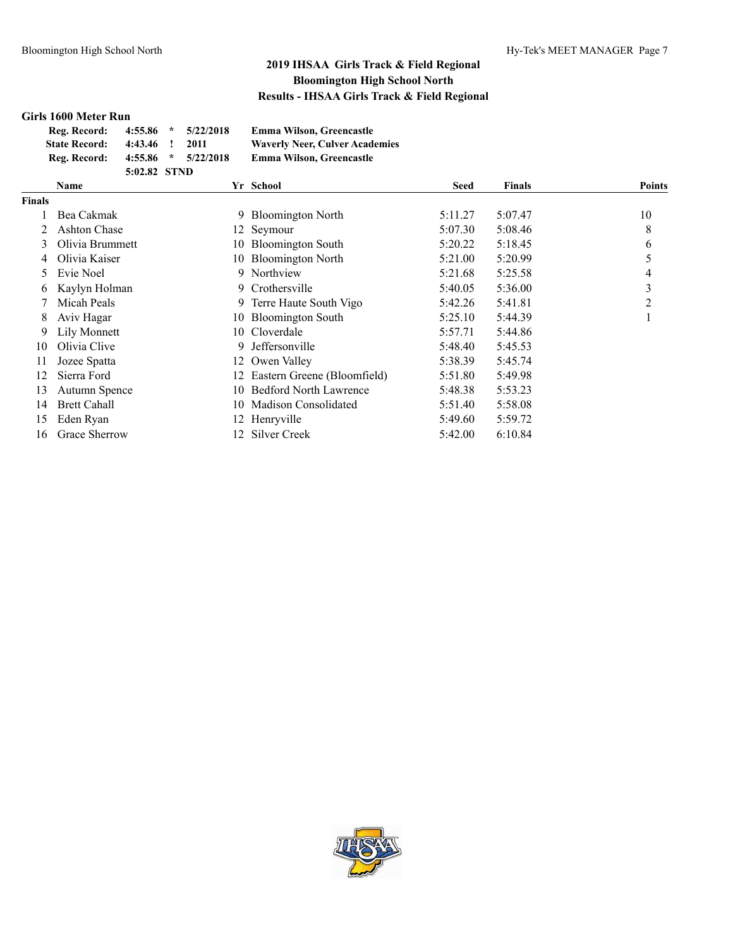#### **Girls 1600 Meter Run**

| Reg. Record:         | $4:55.86$ *  |              | 5/22/2018               | <b>Emma Wilson, Greencastle</b>       |
|----------------------|--------------|--------------|-------------------------|---------------------------------------|
| <b>State Record:</b> | 4:43.46      | $\mathbf{I}$ | 2011                    | <b>Waverly Neer, Culver Academies</b> |
| Reg. Record:         |              |              | $4:55.86$ * $5/22/2018$ | <b>Emma Wilson, Greencastle</b>       |
|                      | 5:02.82 STND |              |                         |                                       |

|               | Name                |     | Yr School                     | <b>Seed</b> | <b>Finals</b> | <b>Points</b> |
|---------------|---------------------|-----|-------------------------------|-------------|---------------|---------------|
| <b>Finals</b> |                     |     |                               |             |               |               |
|               | Bea Cakmak          | 9   | <b>Bloomington North</b>      | 5:11.27     | 5:07.47       | 10            |
|               | Ashton Chase        |     | 12 Seymour                    | 5:07.30     | 5:08.46       | 8             |
| 3             | Olivia Brummett     | 10  | <b>Bloomington South</b>      | 5:20.22     | 5:18.45       | 6             |
| 4             | Olivia Kaiser       | 10- | <b>Bloomington North</b>      | 5:21.00     | 5:20.99       |               |
| 5             | Evie Noel           | 9.  | Northview                     | 5:21.68     | 5:25.58       | 4             |
| 6             | Kaylyn Holman       | 9.  | Crothersville                 | 5:40.05     | 5:36.00       | 3             |
|               | Micah Peals         |     | 9 Terre Haute South Vigo      | 5:42.26     | 5:41.81       | 2             |
| 8             | Aviv Hagar          |     | 10 Bloomington South          | 5:25.10     | 5:44.39       |               |
| 9             | Lily Monnett        |     | 10 Cloverdale                 | 5:57.71     | 5:44.86       |               |
| 10            | Olivia Clive        | 9.  | Jeffersonville                | 5:48.40     | 5:45.53       |               |
| 11            | Jozee Spatta        |     | 12 Owen Valley                | 5:38.39     | 5:45.74       |               |
| 12            | Sierra Ford         | 12. | Eastern Greene (Bloomfield)   | 5:51.80     | 5:49.98       |               |
| 13            | Autumn Spence       | 10  | <b>Bedford North Lawrence</b> | 5:48.38     | 5:53.23       |               |
| 14            | <b>Brett Cahall</b> | 10. | Madison Consolidated          | 5:51.40     | 5:58.08       |               |
| 15            | Eden Ryan           |     | 12 Henryville                 | 5:49.60     | 5:59.72       |               |
| 16            | Grace Sherrow       |     | 12 Silver Creek               | 5:42.00     | 6:10.84       |               |

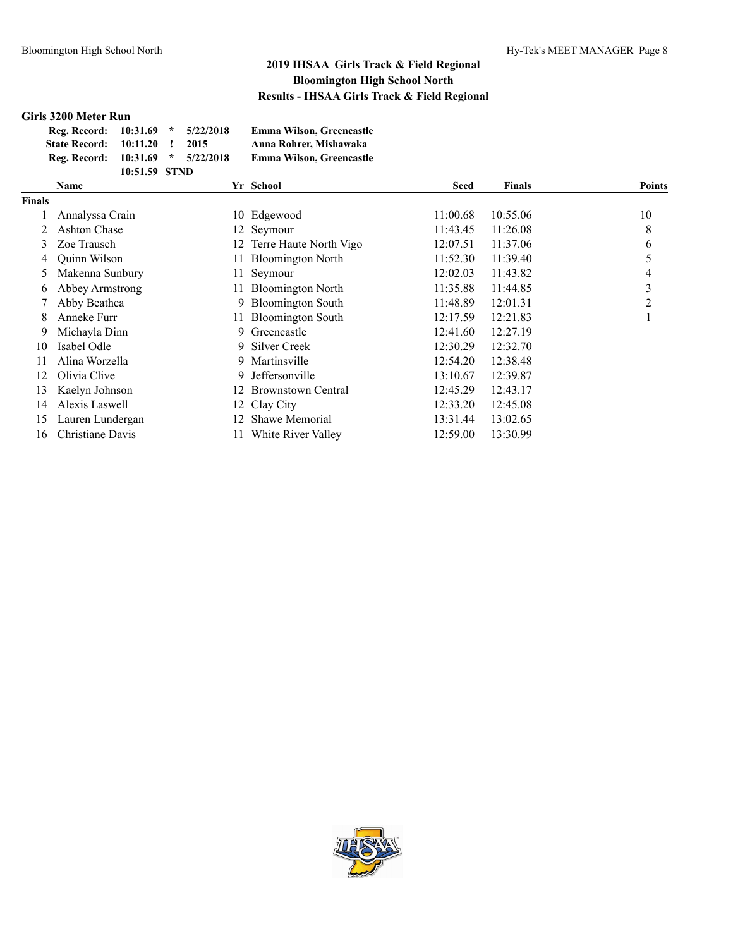### **Girls 3200 Meter Run**

| Reg. Record: 10:31.69         |               | $\mathcal{R}$ | 5/22/2018                | <b>Emma Wilson, Greencastle</b> |
|-------------------------------|---------------|---------------|--------------------------|---------------------------------|
| <b>State Record: 10:11.20</b> |               | - 11          | 2015                     | Anna Rohrer, Mishawaka          |
| Reg. Record:                  |               |               | $10:31.69$ * $5/22/2018$ | <b>Emma Wilson, Greencastle</b> |
|                               | 10:51.59 STND |               |                          |                                 |

|               | Name             |     | Yr School                | <b>Seed</b> | <b>Finals</b> | <b>Points</b> |
|---------------|------------------|-----|--------------------------|-------------|---------------|---------------|
| <b>Finals</b> |                  |     |                          |             |               |               |
|               | Annalyssa Crain  |     | 10 Edgewood              | 11:00.68    | 10:55.06      | 10            |
|               | Ashton Chase     |     | 12 Seymour               | 11:43.45    | 11:26.08      | 8             |
| 3             | Zoe Trausch      | 12  | Terre Haute North Vigo   | 12:07.51    | 11:37.06      | 6             |
| 4             | Quinn Wilson     | 11  | <b>Bloomington North</b> | 11:52.30    | 11:39.40      |               |
| 5.            | Makenna Sunbury  | 11  | Seymour                  | 12:02.03    | 11:43.82      | 4             |
| 6             | Abbey Armstrong  |     | <b>Bloomington North</b> | 11:35.88    | 11:44.85      | 3             |
|               | Abby Beathea     | 9.  | <b>Bloomington South</b> | 11:48.89    | 12:01.31      | 2             |
| 8.            | Anneke Furr      | 11- | <b>Bloomington South</b> | 12:17.59    | 12:21.83      |               |
| 9             | Michayla Dinn    | 9.  | Greencastle              | 12:41.60    | 12:27.19      |               |
| 10            | Isabel Odle      |     | 9 Silver Creek           | 12:30.29    | 12:32.70      |               |
| 11            | Alina Worzella   |     | 9 Martinsville           | 12:54.20    | 12:38.48      |               |
| 12            | Olivia Clive     | 9.  | Jeffersonville           | 13:10.67    | 12:39.87      |               |
| 13            | Kaelyn Johnson   | 12  | Brownstown Central       | 12:45.29    | 12:43.17      |               |
| 14            | Alexis Laswell   |     | 12 Clay City             | 12:33.20    | 12:45.08      |               |
| 15            | Lauren Lundergan | 12. | Shawe Memorial           | 13:31.44    | 13:02.65      |               |
| 16            | Christiane Davis |     | White River Valley       | 12:59.00    | 13:30.99      |               |

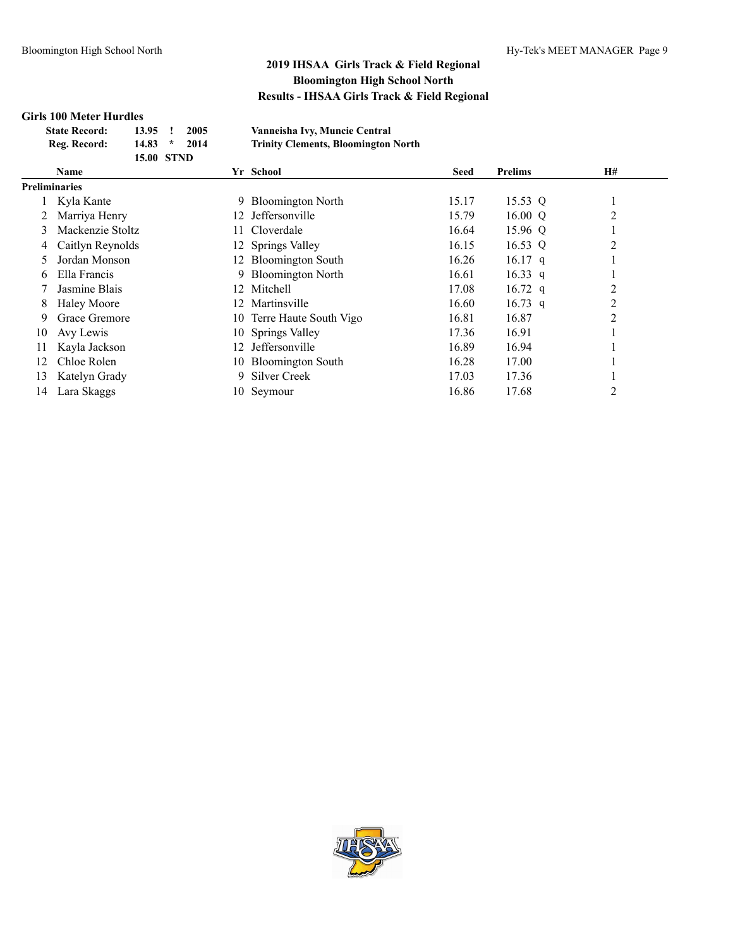#### **Girls 100 Meter Hurdles**

| <b>State Record:</b> | 13.95             | 2005 | Vanneisha Ivy, Muncie Central              |
|----------------------|-------------------|------|--------------------------------------------|
| Reg. Record:         | $14.83$ *         | 2014 | <b>Trinity Clements, Bloomington North</b> |
|                      | <b>15.00 STND</b> |      |                                            |

| Name             |                      |                       | <b>Seed</b>                                                                                                                                                                                                                                             | <b>Prelims</b> | H# |  |
|------------------|----------------------|-----------------------|---------------------------------------------------------------------------------------------------------------------------------------------------------------------------------------------------------------------------------------------------------|----------------|----|--|
|                  |                      |                       |                                                                                                                                                                                                                                                         |                |    |  |
| Kyla Kante       | 9.                   |                       | 15.17                                                                                                                                                                                                                                                   | 15.53 Q        |    |  |
| Marriya Henry    | 12.                  | <b>Jeffersonville</b> | 15.79                                                                                                                                                                                                                                                   | 16.00 $Q$      | 2  |  |
| Mackenzie Stoltz |                      |                       | 16.64                                                                                                                                                                                                                                                   | 15.96 Q        |    |  |
| Caitlyn Reynolds |                      |                       | 16.15                                                                                                                                                                                                                                                   | 16.53 Q        | 2  |  |
| Jordan Monson    | 12.                  |                       | 16.26                                                                                                                                                                                                                                                   | $16.17$ q      |    |  |
| Ella Francis     | 9.                   |                       | 16.61                                                                                                                                                                                                                                                   | 16.33 q        |    |  |
| Jasmine Blais    | 12.                  |                       | 17.08                                                                                                                                                                                                                                                   | 16.72 q        | 2  |  |
| Haley Moore      | 12.                  | Martinsville          | 16.60                                                                                                                                                                                                                                                   | 16.73 q        | 2  |  |
| Grace Gremore    |                      |                       | 16.81                                                                                                                                                                                                                                                   | 16.87          | 2  |  |
| Avy Lewis        |                      |                       | 17.36                                                                                                                                                                                                                                                   | 16.91          |    |  |
| Kayla Jackson    | 12.                  | Jeffersonville        | 16.89                                                                                                                                                                                                                                                   | 16.94          |    |  |
| Chloe Rolen      |                      |                       | 16.28                                                                                                                                                                                                                                                   | 17.00          |    |  |
| Katelyn Grady    | 9.                   |                       | 17.03                                                                                                                                                                                                                                                   | 17.36          |    |  |
| Lara Skaggs      |                      |                       | 16.86                                                                                                                                                                                                                                                   | 17.68          | 2  |  |
|                  | <b>Preliminaries</b> |                       | Yr School<br><b>Bloomington North</b><br>11 Cloverdale<br>12 Springs Valley<br><b>Bloomington South</b><br><b>Bloomington North</b><br>Mitchell<br>10 Terre Haute South Vigo<br>10 Springs Valley<br>10 Bloomington South<br>Silver Creek<br>10 Seymour |                |    |  |

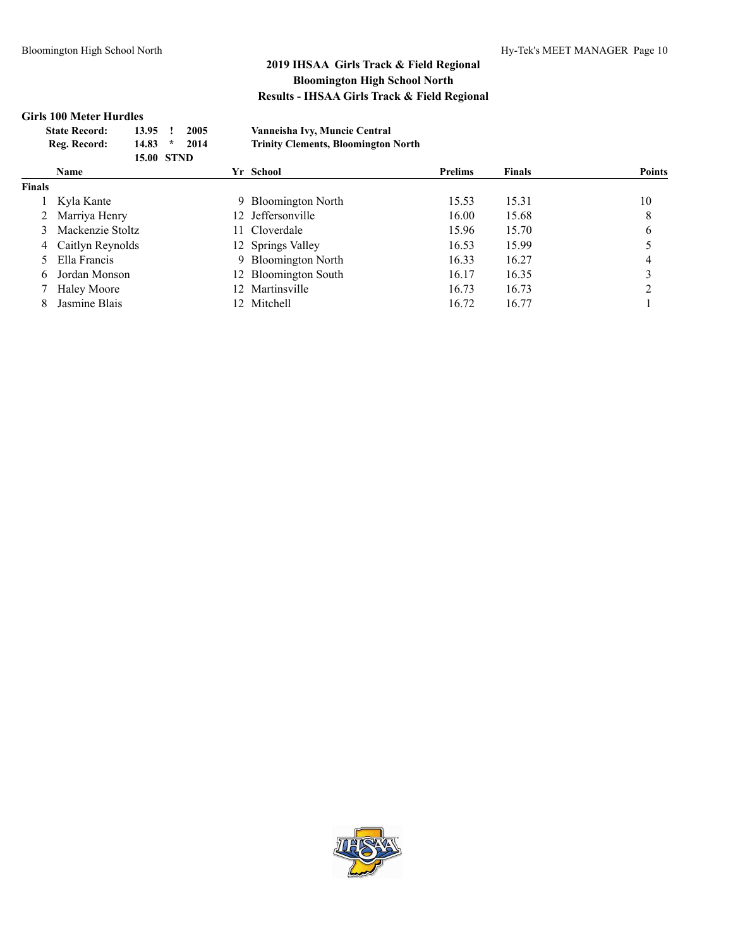### **Girls 100 Meter Hurdles**

| <b>State Record:</b> | 13.95             | 2005                  | Vanneisha Ivy, Muncie Central              |
|----------------------|-------------------|-----------------------|--------------------------------------------|
| Reg. Record:         | 14.83             | 2014<br>$\mathcal{R}$ | <b>Trinity Clements, Bloomington North</b> |
|                      | <b>15.00 STND</b> |                       |                                            |

|               | <b>Name</b>        | Yr School            | <b>Prelims</b> | Finals | <b>Points</b> |
|---------------|--------------------|----------------------|----------------|--------|---------------|
| <b>Finals</b> |                    |                      |                |        |               |
|               | Kyla Kante         | 9 Bloomington North  | 15.53          | 15.31  | 10            |
|               | 2 Marriya Henry    | 12 Jeffersonville    | 16.00          | 15.68  | 8             |
|               | Mackenzie Stoltz   | 11 Cloverdale        | 15.96          | 15.70  | 6             |
|               | 4 Caitlyn Reynolds | 12 Springs Valley    | 16.53          | 15.99  |               |
|               | 5 Ella Francis     | 9 Bloomington North  | 16.33          | 16.27  |               |
|               | Jordan Monson      | 12 Bloomington South | 16.17          | 16.35  |               |
|               | <b>Haley Moore</b> | 12 Martinsville      | 16.73          | 16.73  |               |
|               | Jasmine Blais      | 12 Mitchell          | 16.72          | 16.77  |               |

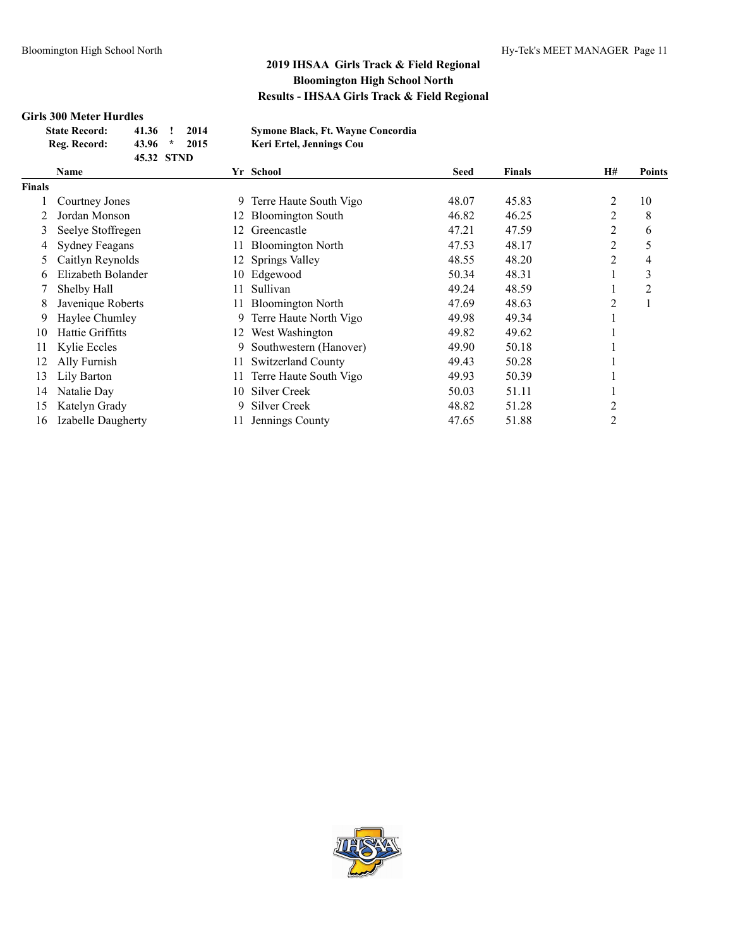# **Girls 300 Meter Hurdles**

| <b>State Record:</b> | 41.36 !    | 2014 | <b>Symone Black, Ft. Wayne Concordia</b> |
|----------------------|------------|------|------------------------------------------|
| Reg. Record:         | $43.96$ *  | 2015 | Keri Ertel, Jennings Cou                 |
|                      | 45.32 STND |      |                                          |

|        | <b>Name</b>           |     | Yr School                 | <b>Seed</b> | <b>Finals</b> | H#             | Points |
|--------|-----------------------|-----|---------------------------|-------------|---------------|----------------|--------|
| Finals |                       |     |                           |             |               |                |        |
|        | Courtney Jones        | 9.  | Terre Haute South Vigo    | 48.07       | 45.83         | 2              | 10     |
|        | Jordan Monson         | 12. | <b>Bloomington South</b>  | 46.82       | 46.25         | 2              | 8      |
| 3      | Seelye Stoffregen     |     | Greencastle               | 47.21       | 47.59         | 2              | 6      |
| 4      | <b>Sydney Feagans</b> |     | <b>Bloomington North</b>  | 47.53       | 48.17         | 2              |        |
| 5      | Caitlyn Reynolds      |     | 12 Springs Valley         | 48.55       | 48.20         | 2              | 4      |
| 6      | Elizabeth Bolander    |     | 10 Edgewood               | 50.34       | 48.31         |                | 3      |
|        | Shelby Hall           | 11  | Sullivan                  | 49.24       | 48.59         |                | 2      |
| 8      | Javenique Roberts     |     | <b>Bloomington North</b>  | 47.69       | 48.63         | 2              |        |
| 9      | Haylee Chumley        | 9.  | Terre Haute North Vigo    | 49.98       | 49.34         |                |        |
| 10     | Hattie Griffitts      | 12. | West Washington           | 49.82       | 49.62         |                |        |
| 11     | Kylie Eccles          | 9.  | Southwestern (Hanover)    | 49.90       | 50.18         |                |        |
| 12     | Ally Furnish          | 11  | <b>Switzerland County</b> | 49.43       | 50.28         |                |        |
| 13     | Lily Barton           | 11  | Terre Haute South Vigo    | 49.93       | 50.39         |                |        |
| 14     | Natalie Day           | 10  | Silver Creek              | 50.03       | 51.11         |                |        |
| 15     | Katelyn Grady         | 9.  | Silver Creek              | 48.82       | 51.28         | 2              |        |
| 16     | Izabelle Daugherty    |     | Jennings County           | 47.65       | 51.88         | $\overline{c}$ |        |

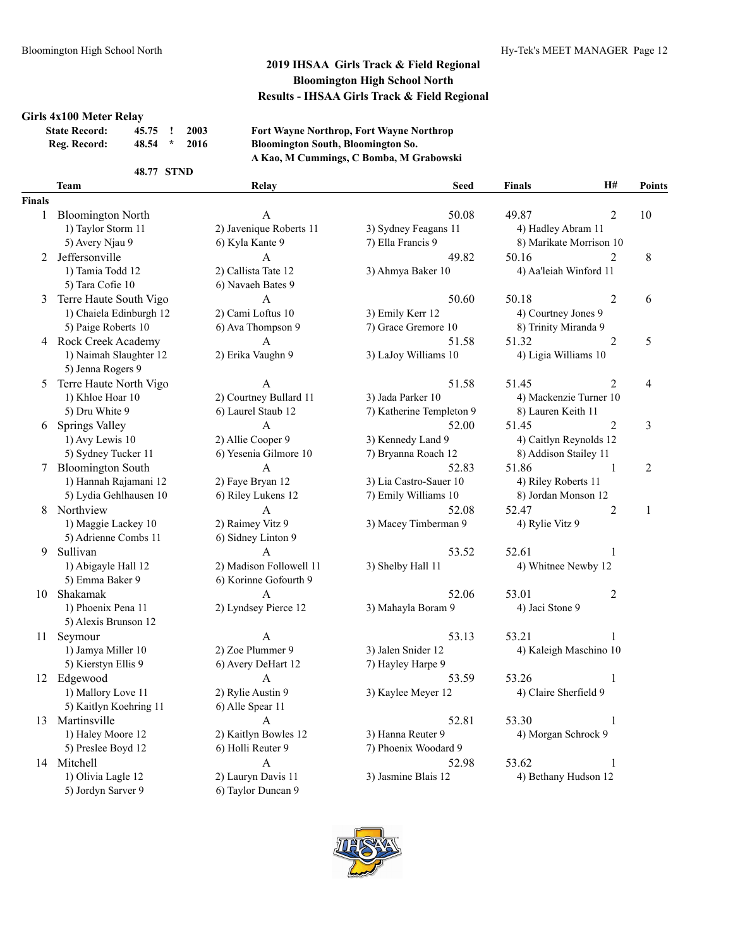#### **Girls 4x100 Meter Relay**

| <b>State Record:</b> | 45.75 ! 2003 |         |      |
|----------------------|--------------|---------|------|
| Reg. Record:         | 48.54        | $\star$ | 2016 |

**State Record: 45.75 ! 2003 Fort Wayne Northrop, Fort Wayne Northrop Reg. Record: 48.54 \* 2016 Bloomington South, Bloomington So. A Kao, M Cummings, C Bomba, M Grabowski**

#### **48.77 STND**

#### **Finals**

| 1  | <b>Bloomington North</b> | A                       | 50.                    |
|----|--------------------------|-------------------------|------------------------|
|    | 1) Taylor Storm 11       | 2) Javenique Roberts 11 | 3) Sydney Feagans 11   |
|    | 5) Avery Njau 9          | 6) Kyla Kante 9         | 7) Ella Francis 9      |
| 2  | Jeffersonville           | A                       | 49.                    |
|    | 1) Tamia Todd 12         | 2) Callista Tate 12     | 3) Ahmya Baker 10      |
|    | 5) Tara Cofie 10         | 6) Navaeh Bates 9       |                        |
| 3  | Terre Haute South Vigo   | A                       | 50.                    |
|    | 1) Chaiela Edinburgh 12  | 2) Cami Loftus 10       | 3) Emily Kerr 12       |
|    | 5) Paige Roberts 10      | 6) Ava Thompson 9       | 7) Grace Gremore 10    |
| 4  | Rock Creek Academy       | A                       | 51.                    |
|    | 1) Naimah Slaughter 12   | 2) Erika Vaughn 9       | 3) LaJoy Williams 10   |
|    | 5) Jenna Rogers 9        |                         |                        |
| 5  | Terre Haute North Vigo   | А                       | 51.                    |
|    | 1) Khloe Hoar 10         | 2) Courtney Bullard 11  | 3) Jada Parker 10      |
|    | 5) Dru White 9           | 6) Laurel Staub 12      | 7) Katherine Templeto  |
| 6  | Springs Valley           | A                       | 52.                    |
|    | 1) Avy Lewis 10          | 2) Allie Cooper 9       | 3) Kennedy Land 9      |
|    | 5) Sydney Tucker 11      | 6) Yesenia Gilmore 10   | 7) Bryanna Roach 12    |
| 7  | <b>Bloomington South</b> | A                       | 52.                    |
|    | 1) Hannah Rajamani 12    | 2) Faye Bryan 12        | 3) Lia Castro-Sauer 10 |
|    | 5) Lydia Gehlhausen 10   | 6) Riley Lukens 12      | 7) Emily Williams 10   |
| 8  | Northview                | А                       | 52.                    |
|    | 1) Maggie Lackey 10      | 2) Raimey Vitz 9        | 3) Macey Timberman     |
|    | 5) Adrienne Combs 11     | 6) Sidney Linton 9      |                        |
| 9  | Sullivan                 | A                       | 53.                    |
|    | 1) Abigayle Hall 12      | 2) Madison Followell 11 | 3) Shelby Hall 11      |
|    | 5) Emma Baker 9          | 6) Korinne Gofourth 9   |                        |
| 10 | Shakamak                 | А                       | 52.                    |
|    | 1) Phoenix Pena 11       | 2) Lyndsey Pierce 12    | 3) Mahayla Boram 9     |
|    | 5) Alexis Brunson 12     |                         |                        |
| 11 | Seymour                  | А                       | 53.                    |
|    | 1) Jamya Miller 10       | 2) Zoe Plummer 9        | 3) Jalen Snider 12     |
|    | 5) Kierstyn Ellis 9      | 6) Avery DeHart 12      | 7) Hayley Harpe 9      |
| 12 | Edgewood                 | A                       | 53.                    |
|    | 1) Mallory Love 11       | 2) Rylie Austin 9       | 3) Kaylee Meyer 12     |
|    | 5) Kaitlyn Koehring 11   | 6) Alle Spear 11        |                        |
| 13 | Martinsville             | A                       | 52.                    |
|    | 1) Haley Moore 12        | 2) Kaitlyn Bowles 12    | 3) Hanna Reuter 9      |
|    | 5) Preslee Boyd 12       | 6) Holli Reuter 9       | 7) Phoenix Woodard 9   |
| 14 | Mitchell                 | А                       | 52.                    |
|    | 1) Olivia Lagle 12       | 2) Lauryn Davis 11      | 3) Jasmine Blais 12    |
|    | 5) Jordyn Sarver 9       | 6) Taylor Duncan 9      |                        |
|    |                          |                         |                        |

|     | <b>Team</b>              | Relay                   | <b>Seed</b>              | <b>Finals</b>           | H#             | <b>Points</b> |
|-----|--------------------------|-------------------------|--------------------------|-------------------------|----------------|---------------|
| als |                          |                         |                          |                         |                |               |
| 1   | <b>Bloomington North</b> | A                       | 50.08                    | 49.87                   | $\overline{2}$ | 10            |
|     | 1) Taylor Storm 11       | 2) Javenique Roberts 11 | 3) Sydney Feagans 11     | 4) Hadley Abram 11      |                |               |
|     | 5) Avery Njau 9          | 6) Kyla Kante 9         | 7) Ella Francis 9        | 8) Marikate Morrison 10 |                |               |
| 2   | Jeffersonville           | A                       | 49.82                    | 50.16                   | 2              | $\,8\,$       |
|     | 1) Tamia Todd 12         | 2) Callista Tate 12     | 3) Ahmya Baker 10        | 4) Aa'leiah Winford 11  |                |               |
|     | 5) Tara Cofie 10         | 6) Navaeh Bates 9       |                          |                         |                |               |
|     | 3 Terre Haute South Vigo | A                       | 50.60                    | 50.18                   | $\overline{2}$ | 6             |
|     | 1) Chaiela Edinburgh 12  | 2) Cami Loftus 10       | 3) Emily Kerr 12         | 4) Courtney Jones 9     |                |               |
|     | 5) Paige Roberts 10      | 6) Ava Thompson 9       | 7) Grace Gremore 10      | 8) Trinity Miranda 9    |                |               |
|     | 4 Rock Creek Academy     | A                       | 51.58                    | 51.32                   | $\overline{2}$ | 5             |
|     | 1) Naimah Slaughter 12   | 2) Erika Vaughn 9       | 3) LaJoy Williams 10     | 4) Ligia Williams 10    |                |               |
|     | 5) Jenna Rogers 9        |                         |                          |                         |                |               |
| 5   | Terre Haute North Vigo   | A                       | 51.58                    | 51.45                   | $\overline{2}$ | 4             |
|     | 1) Khloe Hoar 10         | 2) Courtney Bullard 11  | 3) Jada Parker 10        | 4) Mackenzie Turner 10  |                |               |
|     | 5) Dru White 9           | 6) Laurel Staub 12      | 7) Katherine Templeton 9 | 8) Lauren Keith 11      |                |               |
|     | 6 Springs Valley         | A                       | 52.00                    | 51.45                   | 2              | 3             |
|     | 1) Avy Lewis 10          | 2) Allie Cooper 9       | 3) Kennedy Land 9        | 4) Caitlyn Reynolds 12  |                |               |
|     | 5) Sydney Tucker 11      | 6) Yesenia Gilmore 10   | 7) Bryanna Roach 12      | 8) Addison Stailey 11   |                |               |
|     | 7 Bloomington South      | A                       | 52.83                    | 51.86                   | 1              | 2             |
|     | 1) Hannah Rajamani 12    | 2) Faye Bryan 12        | 3) Lia Castro-Sauer 10   | 4) Riley Roberts 11     |                |               |
|     | 5) Lydia Gehlhausen 10   | 6) Riley Lukens 12      | 7) Emily Williams 10     | 8) Jordan Monson 12     |                |               |
|     | 8 Northview              | $\mathsf{A}$            | 52.08                    | 52.47                   | $\overline{2}$ | $\mathbf{1}$  |
|     | 1) Maggie Lackey 10      | 2) Raimey Vitz 9        | 3) Macey Timberman 9     | 4) Rylie Vitz 9         |                |               |
|     | 5) Adrienne Combs 11     | 6) Sidney Linton 9      |                          |                         |                |               |
| 9   | Sullivan                 | A                       | 53.52                    | 52.61                   | 1              |               |
|     | 1) Abigayle Hall 12      | 2) Madison Followell 11 | 3) Shelby Hall 11        | 4) Whitnee Newby 12     |                |               |
|     | 5) Emma Baker 9          | 6) Korinne Gofourth 9   |                          |                         |                |               |
| 10  | Shakamak                 | $\overline{A}$          | 52.06                    | 53.01                   | $\overline{2}$ |               |
|     | 1) Phoenix Pena 11       | 2) Lyndsey Pierce 12    | 3) Mahayla Boram 9       | 4) Jaci Stone 9         |                |               |
|     | 5) Alexis Brunson 12     |                         |                          |                         |                |               |
| 11  | Seymour                  | A                       | 53.13                    | 53.21                   | 1              |               |
|     | 1) Jamya Miller 10       | 2) Zoe Plummer 9        | 3) Jalen Snider 12       | 4) Kaleigh Maschino 10  |                |               |
|     | 5) Kierstyn Ellis 9      | 6) Avery DeHart 12      | 7) Hayley Harpe 9        |                         |                |               |
|     | 12 Edgewood              | A                       | 53.59                    | 53.26                   | 1              |               |
|     | 1) Mallory Love 11       | 2) Rylie Austin 9       | 3) Kaylee Meyer 12       | 4) Claire Sherfield 9   |                |               |
|     | 5) Kaitlyn Koehring 11   | 6) Alle Spear 11        |                          |                         |                |               |
|     | 13 Martinsville          | A                       | 52.81                    | 53.30                   | 1              |               |
|     | 1) Haley Moore 12        | 2) Kaitlyn Bowles 12    | 3) Hanna Reuter 9        | 4) Morgan Schrock 9     |                |               |
|     | 5) Preslee Boyd 12       | 6) Holli Reuter 9       | 7) Phoenix Woodard 9     |                         |                |               |
|     | 14 Mitchell              | A                       | 52.98                    | 53.62                   | 1              |               |
|     | 1) Olivia Lagle 12       | 2) Lauryn Davis 11      | 3) Jasmine Blais 12      | 4) Bethany Hudson 12    |                |               |
|     |                          |                         |                          |                         |                |               |

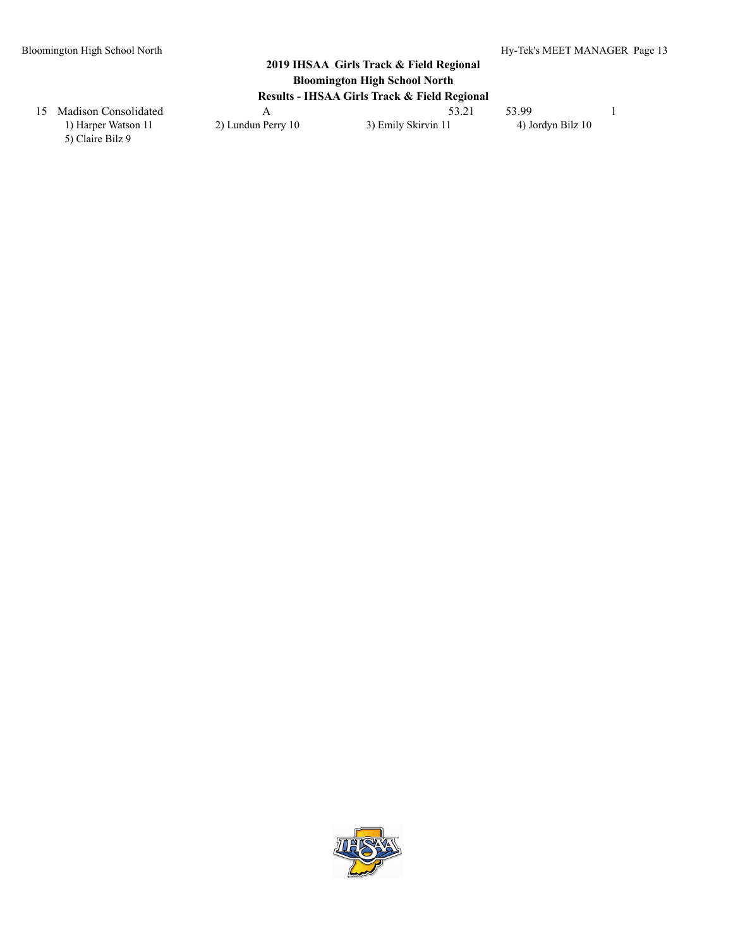5) Claire Bilz 9

15 Madison Consolidated A 53.21 53.99 1 1) Harper Watson 11 2) Lundun Perry 10 3) Emily Skirvin 11 4) Jordyn Bilz 10

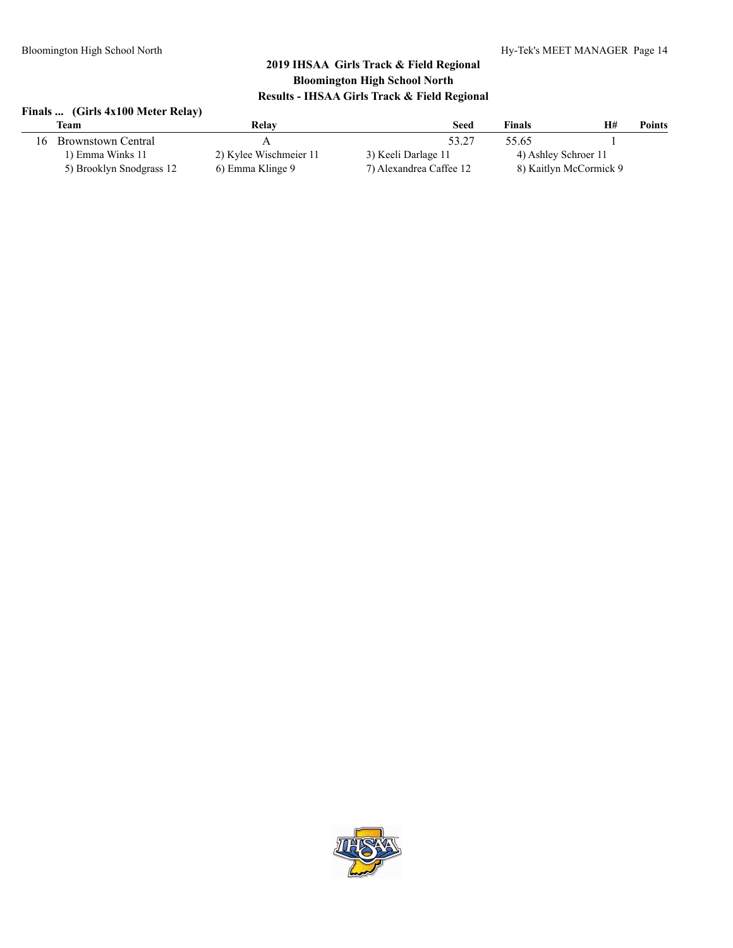# **Finals ... (Girls 4x100 Meter Relay)**

| Team                     | Relay                  | <b>Seed</b>             | <b>Finals</b>        | H#                     | Points |
|--------------------------|------------------------|-------------------------|----------------------|------------------------|--------|
| 16 Brownstown Central    |                        | 53.27                   | 55.65                |                        |        |
| 1) Emma Winks 11         | 2) Kylee Wischmeier 11 | 3) Keeli Darlage 11     | 4) Ashley Schroer 11 |                        |        |
| 5) Brooklyn Snodgrass 12 | 6) Emma Klinge 9       | 7) Alexandrea Caffee 12 |                      | 8) Kaitlyn McCormick 9 |        |

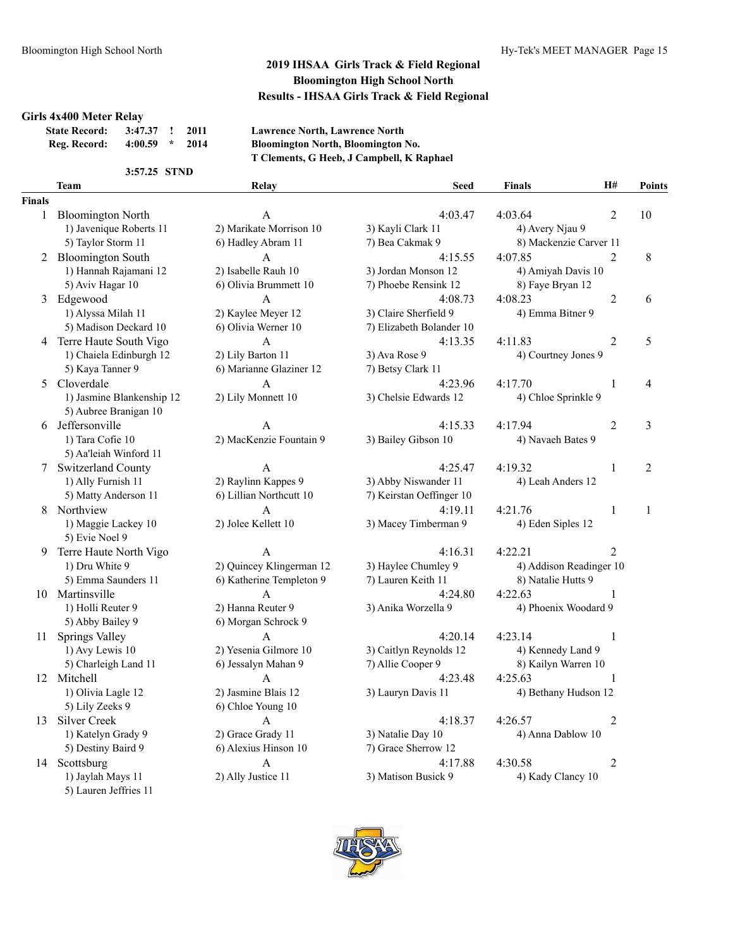#### **Girls 4x400 Meter Relay**

| <b>State Record:</b> | 3:47.37 ! 2011 |      |
|----------------------|----------------|------|
| Reg. Record:         | 4:00.59        | 2014 |

#### **State Record: 3:47.37 ! 2011 Lawrence North, Lawrence North Reg. Record: 4:00.59 \* 2014 Bloomington North, Bloomington No. T Clements, G Heeb, J Campbell, K Raphael**

**Team Relay Seed Finals H# Points**

#### **3:57.25 STND**

### **Fina**

| als |                           |                          |                          |                         |                |                |
|-----|---------------------------|--------------------------|--------------------------|-------------------------|----------------|----------------|
| 1   | <b>Bloomington North</b>  | A                        | 4:03.47                  | 4:03.64                 | 2              | 10             |
|     | 1) Javenique Roberts 11   | 2) Marikate Morrison 10  | 3) Kayli Clark 11        | 4) Avery Njau 9         |                |                |
|     | 5) Taylor Storm 11        | 6) Hadley Abram 11       | 7) Bea Cakmak 9          | 8) Mackenzie Carver 11  |                |                |
|     | 2 Bloomington South       | A                        | 4:15.55                  | 4:07.85                 | 2              | 8              |
|     | 1) Hannah Rajamani 12     | 2) Isabelle Rauh 10      | 3) Jordan Monson 12      | 4) Amiyah Davis 10      |                |                |
|     | 5) Aviv Hagar 10          | 6) Olivia Brummett 10    | 7) Phoebe Rensink 12     | 8) Faye Bryan 12        |                |                |
|     | 3 Edgewood                | A                        | 4:08.73                  | 4:08.23                 | $\overline{2}$ | 6              |
|     | 1) Alyssa Milah 11        | 2) Kaylee Meyer 12       | 3) Claire Sherfield 9    | 4) Emma Bitner 9        |                |                |
|     | 5) Madison Deckard 10     | 6) Olivia Werner 10      | 7) Elizabeth Bolander 10 |                         |                |                |
|     | 4 Terre Haute South Vigo  | A                        | 4:13.35                  | 4:11.83                 | 2              | 5              |
|     | 1) Chaiela Edinburgh 12   | 2) Lily Barton 11        | 3) Ava Rose 9            | 4) Courtney Jones 9     |                |                |
|     | 5) Kaya Tanner 9          | 6) Marianne Glaziner 12  | 7) Betsy Clark 11        |                         |                |                |
| 5   | Cloverdale                | A                        | 4:23.96                  | 4:17.70                 | 1              | 4              |
|     | 1) Jasmine Blankenship 12 | 2) Lily Monnett 10       | 3) Chelsie Edwards 12    | 4) Chloe Sprinkle 9     |                |                |
|     | 5) Aubree Branigan 10     |                          |                          |                         |                |                |
|     | 6 Jeffersonville          | A                        | 4:15.33                  | 4:17.94                 | 2              | 3              |
|     | 1) Tara Cofie 10          | 2) MacKenzie Fountain 9  | 3) Bailey Gibson 10      | 4) Navaeh Bates 9       |                |                |
|     | 5) Aa'leiah Winford 11    |                          |                          |                         |                |                |
|     | Switzerland County        | A                        | 4:25.47                  | 4:19.32                 | $\mathbf{1}$   | $\overline{2}$ |
|     | 1) Ally Furnish 11        | 2) Raylinn Kappes 9      | 3) Abby Niswander 11     | 4) Leah Anders 12       |                |                |
|     | 5) Matty Anderson 11      | 6) Lillian Northcutt 10  | 7) Keirstan Oeffinger 10 |                         |                |                |
| 8   | Northview                 | A                        | 4:19.11                  | 4:21.76                 | 1              | 1              |
|     | 1) Maggie Lackey 10       | 2) Jolee Kellett 10      | 3) Macey Timberman 9     | 4) Eden Siples 12       |                |                |
|     | 5) Evie Noel 9            |                          |                          |                         |                |                |
|     | 9 Terre Haute North Vigo  | A                        | 4:16.31                  | 4:22.21                 | $\overline{2}$ |                |
|     | 1) Dru White 9            | 2) Quincey Klingerman 12 | 3) Haylee Chumley 9      | 4) Addison Readinger 10 |                |                |
|     | 5) Emma Saunders 11       | 6) Katherine Templeton 9 | 7) Lauren Keith 11       | 8) Natalie Hutts 9      |                |                |
|     | 10 Martinsville           | A                        | 4:24.80                  | 4:22.63                 | 1              |                |
|     | 1) Holli Reuter 9         | 2) Hanna Reuter 9        | 3) Anika Worzella 9      | 4) Phoenix Woodard 9    |                |                |
|     | 5) Abby Bailey 9          | 6) Morgan Schrock 9      |                          |                         |                |                |
| 11  | Springs Valley            | $\mathsf{A}$             | 4:20.14                  | 4:23.14                 | 1              |                |
|     | 1) Avy Lewis 10           | 2) Yesenia Gilmore 10    | 3) Caitlyn Reynolds 12   | 4) Kennedy Land 9       |                |                |
|     | 5) Charleigh Land 11      | 6) Jessalyn Mahan 9      | 7) Allie Cooper 9        | 8) Kailyn Warren 10     |                |                |
|     | 12 Mitchell               | A                        | 4:23.48                  | 4:25.63                 | 1              |                |
|     | 1) Olivia Lagle 12        | 2) Jasmine Blais 12      | 3) Lauryn Davis 11       | 4) Bethany Hudson 12    |                |                |
|     | 5) Lily Zeeks 9           | 6) Chloe Young 10        |                          |                         |                |                |
| 13  | Silver Creek              | A                        | 4:18.37                  | 4:26.57                 | 2              |                |
|     | 1) Katelyn Grady 9        | 2) Grace Grady 11        | 3) Natalie Day 10        | 4) Anna Dablow 10       |                |                |
|     | 5) Destiny Baird 9        | 6) Alexius Hinson 10     | 7) Grace Sherrow 12      |                         |                |                |
| 14  | Scottsburg                | A                        | 4:17.88                  | 4:30.58                 | $\overline{2}$ |                |
|     | 1) Jaylah Mays 11         | 2) Ally Justice 11       | 3) Matison Busick 9      | 4) Kady Clancy 10       |                |                |
|     | 5) Lauren Jeffries 11     |                          |                          |                         |                |                |

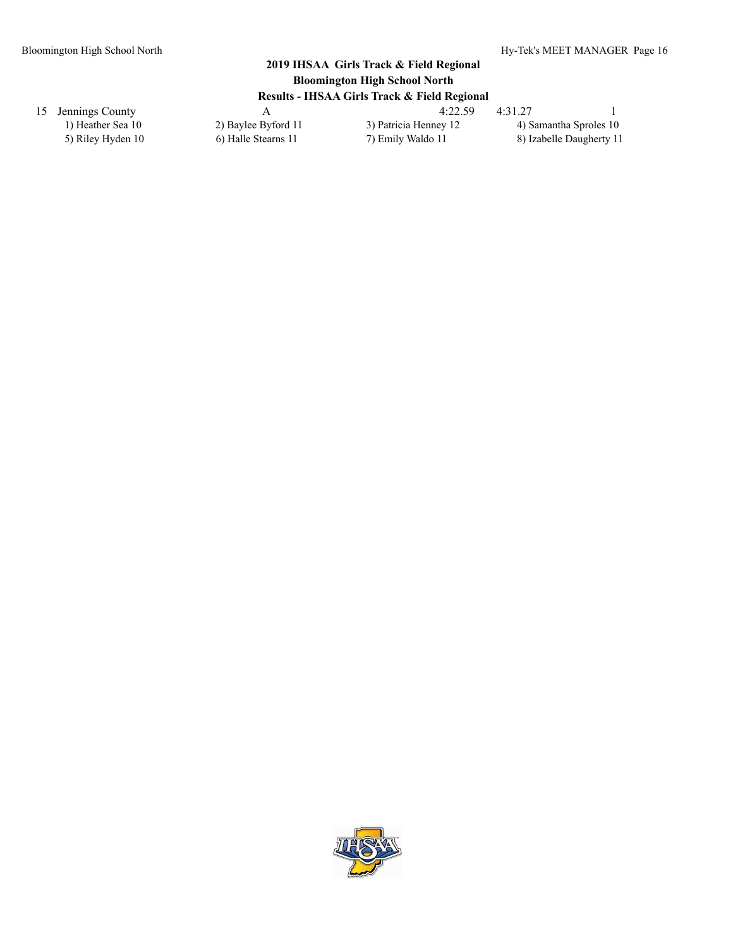| 15 Jennings County |                     | 4:22.59               | 4:31.27                  |
|--------------------|---------------------|-----------------------|--------------------------|
| 1) Heather Sea 10  | 2) Baylee Byford 11 | 3) Patricia Henney 12 | 4) Samantha Sproles 10   |
| 5) Riley Hyden 10  | 6) Halle Stearns 11 | 7) Emily Waldo 11     | 8) Izabelle Daugherty 11 |

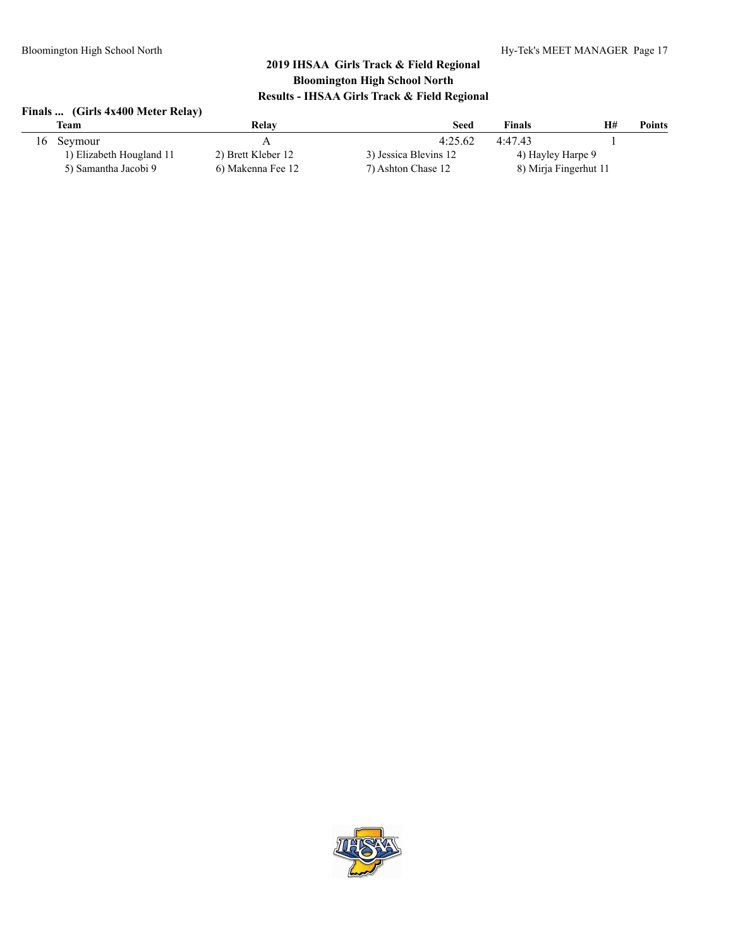# **Finals ... (Girls 4x400 Meter Relay)**

|     | Team                     | Relav              | <b>Seed</b>           | <b>Finals</b>         | H# | <b>Points</b> |
|-----|--------------------------|--------------------|-----------------------|-----------------------|----|---------------|
| 16- | Seymour                  |                    | 4:25.62               | 4:47.43               |    |               |
|     | 1) Elizabeth Hougland 11 | 2) Brett Kleber 12 | 3) Jessica Blevins 12 | 4) Hayley Harpe 9     |    |               |
|     | 5) Samantha Jacobi 9     | 6) Makenna Fee 12  | 7) Ashton Chase 12    | 8) Mirja Fingerhut 11 |    |               |

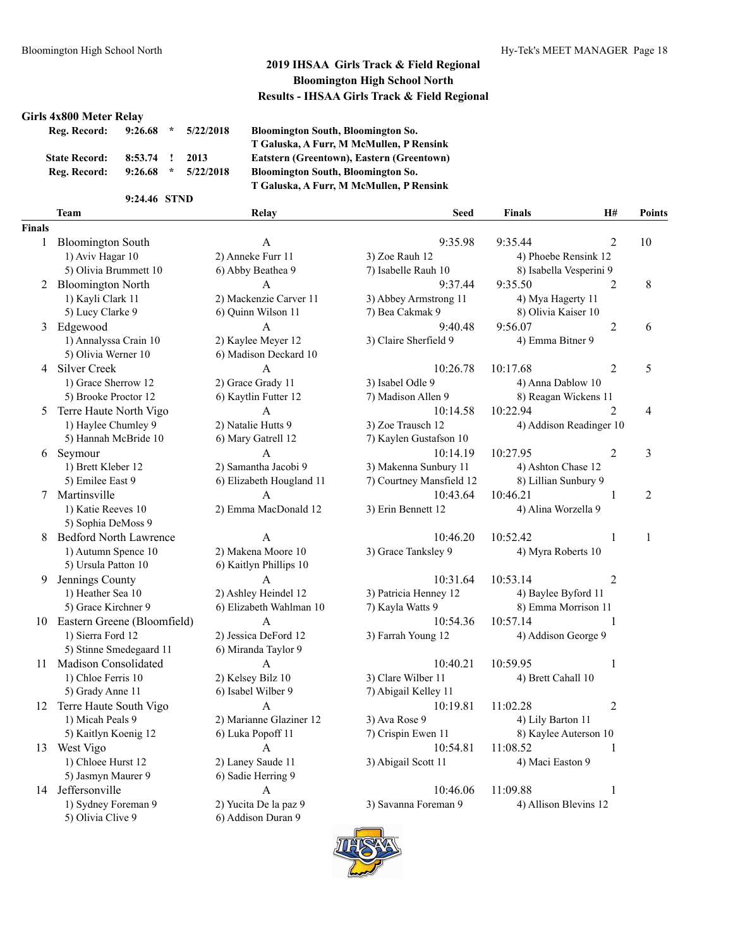#### **Girls 4x800 Meter Relay**

| 9:26.68 | $\mathcal{H}$ | 5/22/2018   |
|---------|---------------|-------------|
|         |               | 2013        |
| 9:26.68 | $\mathcal{H}$ | 5/22/2018   |
|         |               | $8:53.74$ ! |

**9:24.46 STND**

**Reg. Record: 9:26.68 \* 5/22/2018 Bloomington South, Bloomington So. T Galuska, A Furr, M McMullen, P Rensink**  $Esttern (Greentown), Eastern (Greentown)$ **Reg. Record: 9:26.68 \* 5/22/2018 Bloomington South, Bloomington So. T Galuska, A Furr, M McMullen, P Rensink**

**Team Relay Seed Finals H# Points**

6) Addison Duran 9

# **Finals**

| iais |                               |
|------|-------------------------------|
| 1    | <b>Bloomington South</b>      |
|      | 1) Aviv Hagar 10              |
|      | 5) Olivia Brummett 10         |
| 2    | <b>Bloomington North</b>      |
|      | 1) Kayli Clark 11             |
|      | 5) Lucy Clarke 9              |
| 3    | Edgewood                      |
|      | 1) Annalyssa Crain 10         |
|      | 5) Olivia Werner 10           |
| 4    | <b>Silver Creek</b>           |
|      | 1) Grace Sherrow 12           |
|      | 5) Brooke Proctor 12          |
| 5    | Terre Haute North Vigo        |
|      | 1) Haylee Chumley 9           |
|      | 5) Hannah McBride 10          |
| 6    | Seymour                       |
|      | 1) Brett Kleber 12            |
|      | 5) Emilee East 9              |
| 7    | Martinsville                  |
|      | 1) Katie Reeves 10            |
|      | 5) Sophia DeMoss 9            |
| 8    | <b>Bedford North Lawrence</b> |
|      | 1) Autumn Spence 10           |
|      | 5) Ursula Patton 10           |
| 9    | Jennings County               |
|      | 1) Heather Sea 10             |
|      | 5) Grace Kirchner 9           |
| 10   | Eastern Greene (Bloomfield)   |
|      | 1) Sierra Ford 12             |
|      | 5) Stinne Smedegaard 11       |
| 11   | Madison Consolidated          |
|      | 1) Chloe Ferris 10            |
|      | 5) Grady Anne 11              |
| 12   | Terre Haute South Vigo        |
|      | 1) Micah Peals 9              |
|      | 5) Kaitlyn Koenig 12          |
| 13   | West Vigo                     |
|      | 1) Chloee Hurst 12            |
|      | 5) Jasmyn Maurer 9            |
| 14   | Jeffersonville                |
|      | 1) Sydney Foreman 9           |
|      | 5) Olivia Clive 9             |

| <b>Bloomington South</b> | A                                                                                                                                                                                                                                                                                    | 9:35.98                                                                                                         | 9:35.44           | 2                                                  | 10                                                                                                                                                                                                                                                                                                                                                           |
|--------------------------|--------------------------------------------------------------------------------------------------------------------------------------------------------------------------------------------------------------------------------------------------------------------------------------|-----------------------------------------------------------------------------------------------------------------|-------------------|----------------------------------------------------|--------------------------------------------------------------------------------------------------------------------------------------------------------------------------------------------------------------------------------------------------------------------------------------------------------------------------------------------------------------|
| 1) Aviv Hagar 10         |                                                                                                                                                                                                                                                                                      |                                                                                                                 |                   |                                                    |                                                                                                                                                                                                                                                                                                                                                              |
| 5) Olivia Brummett 10    | 6) Abby Beathea 9                                                                                                                                                                                                                                                                    | 7) Isabelle Rauh 10                                                                                             |                   |                                                    |                                                                                                                                                                                                                                                                                                                                                              |
|                          | $\mathbf{A}$                                                                                                                                                                                                                                                                         | 9:37.44                                                                                                         | 9:35.50           | $\overline{2}$                                     | 8                                                                                                                                                                                                                                                                                                                                                            |
| 1) Kayli Clark 11        | 2) Mackenzie Carver 11                                                                                                                                                                                                                                                               | 3) Abbey Armstrong 11                                                                                           |                   |                                                    |                                                                                                                                                                                                                                                                                                                                                              |
| 5) Lucy Clarke 9         | 6) Quinn Wilson 11                                                                                                                                                                                                                                                                   | 7) Bea Cakmak 9                                                                                                 |                   |                                                    |                                                                                                                                                                                                                                                                                                                                                              |
|                          | A                                                                                                                                                                                                                                                                                    | 9:40.48                                                                                                         | 9:56.07           | $\overline{2}$                                     | 6                                                                                                                                                                                                                                                                                                                                                            |
| 1) Annalyssa Crain 10    | 2) Kaylee Meyer 12                                                                                                                                                                                                                                                                   | 3) Claire Sherfield 9                                                                                           |                   |                                                    |                                                                                                                                                                                                                                                                                                                                                              |
| 5) Olivia Werner 10      | 6) Madison Deckard 10                                                                                                                                                                                                                                                                |                                                                                                                 |                   |                                                    |                                                                                                                                                                                                                                                                                                                                                              |
|                          | A                                                                                                                                                                                                                                                                                    | 10:26.78                                                                                                        | 10:17.68          | $\overline{2}$                                     | 5                                                                                                                                                                                                                                                                                                                                                            |
| 1) Grace Sherrow 12      | 2) Grace Grady 11                                                                                                                                                                                                                                                                    | 3) Isabel Odle 9                                                                                                |                   |                                                    |                                                                                                                                                                                                                                                                                                                                                              |
| 5) Brooke Proctor 12     | 6) Kaytlin Futter 12                                                                                                                                                                                                                                                                 | 7) Madison Allen 9                                                                                              |                   |                                                    |                                                                                                                                                                                                                                                                                                                                                              |
|                          | A                                                                                                                                                                                                                                                                                    | 10:14.58                                                                                                        | 10:22.94          | $\overline{2}$                                     | 4                                                                                                                                                                                                                                                                                                                                                            |
| 1) Haylee Chumley 9      | 2) Natalie Hutts 9                                                                                                                                                                                                                                                                   | 3) Zoe Trausch 12                                                                                               |                   |                                                    |                                                                                                                                                                                                                                                                                                                                                              |
| 5) Hannah McBride 10     | 6) Mary Gatrell 12                                                                                                                                                                                                                                                                   | 7) Kaylen Gustafson 10                                                                                          |                   |                                                    |                                                                                                                                                                                                                                                                                                                                                              |
|                          | A                                                                                                                                                                                                                                                                                    | 10:14.19                                                                                                        | 10:27.95          | 2                                                  | 3                                                                                                                                                                                                                                                                                                                                                            |
| 1) Brett Kleber 12       | 2) Samantha Jacobi 9                                                                                                                                                                                                                                                                 | 3) Makenna Sunbury 11                                                                                           |                   |                                                    |                                                                                                                                                                                                                                                                                                                                                              |
| 5) Emilee East 9         | 6) Elizabeth Hougland 11                                                                                                                                                                                                                                                             | 7) Courtney Mansfield 12                                                                                        |                   |                                                    |                                                                                                                                                                                                                                                                                                                                                              |
|                          | A                                                                                                                                                                                                                                                                                    | 10:43.64                                                                                                        | 10:46.21          | 1                                                  | $\overline{c}$                                                                                                                                                                                                                                                                                                                                               |
| 1) Katie Reeves 10       | 2) Emma MacDonald 12                                                                                                                                                                                                                                                                 | 3) Erin Bennett 12                                                                                              |                   |                                                    |                                                                                                                                                                                                                                                                                                                                                              |
| 5) Sophia DeMoss 9       |                                                                                                                                                                                                                                                                                      |                                                                                                                 |                   |                                                    |                                                                                                                                                                                                                                                                                                                                                              |
|                          | $\overline{A}$                                                                                                                                                                                                                                                                       | 10:46.20                                                                                                        | 10:52.42          | $\mathbf{1}$                                       | 1                                                                                                                                                                                                                                                                                                                                                            |
| 1) Autumn Spence 10      |                                                                                                                                                                                                                                                                                      | 3) Grace Tanksley 9                                                                                             |                   |                                                    |                                                                                                                                                                                                                                                                                                                                                              |
| 5) Ursula Patton 10      | 6) Kaitlyn Phillips 10                                                                                                                                                                                                                                                               |                                                                                                                 |                   |                                                    |                                                                                                                                                                                                                                                                                                                                                              |
|                          | A                                                                                                                                                                                                                                                                                    | 10:31.64                                                                                                        | 10:53.14          | 2                                                  |                                                                                                                                                                                                                                                                                                                                                              |
|                          |                                                                                                                                                                                                                                                                                      | 3) Patricia Henney 12                                                                                           |                   |                                                    |                                                                                                                                                                                                                                                                                                                                                              |
| 5) Grace Kirchner 9      | 6) Elizabeth Wahlman 10                                                                                                                                                                                                                                                              | 7) Kayla Watts 9                                                                                                |                   |                                                    |                                                                                                                                                                                                                                                                                                                                                              |
|                          | A                                                                                                                                                                                                                                                                                    | 10:54.36                                                                                                        |                   | 1                                                  |                                                                                                                                                                                                                                                                                                                                                              |
| 1) Sierra Ford 12        | 2) Jessica DeFord 12                                                                                                                                                                                                                                                                 | 3) Farrah Young 12                                                                                              |                   |                                                    |                                                                                                                                                                                                                                                                                                                                                              |
| 5) Stinne Smedegaard 11  | 6) Miranda Taylor 9                                                                                                                                                                                                                                                                  |                                                                                                                 |                   |                                                    |                                                                                                                                                                                                                                                                                                                                                              |
| Madison Consolidated     | A                                                                                                                                                                                                                                                                                    | 10:40.21                                                                                                        | 10:59.95          | 1                                                  |                                                                                                                                                                                                                                                                                                                                                              |
| 1) Chloe Ferris 10       |                                                                                                                                                                                                                                                                                      | 3) Clare Wilber 11                                                                                              |                   |                                                    |                                                                                                                                                                                                                                                                                                                                                              |
| 5) Grady Anne 11         | 6) Isabel Wilber 9                                                                                                                                                                                                                                                                   | 7) Abigail Kelley 11                                                                                            |                   |                                                    |                                                                                                                                                                                                                                                                                                                                                              |
|                          | $\overline{A}$                                                                                                                                                                                                                                                                       | 10:19.81                                                                                                        | 11:02.28          | $\overline{2}$                                     |                                                                                                                                                                                                                                                                                                                                                              |
| 1) Micah Peals 9         |                                                                                                                                                                                                                                                                                      | 3) Ava Rose 9                                                                                                   | 4) Lily Barton 11 |                                                    |                                                                                                                                                                                                                                                                                                                                                              |
| 5) Kaitlyn Koenig 12     | 6) Luka Popoff 11                                                                                                                                                                                                                                                                    | 7) Crispin Ewen 11                                                                                              |                   |                                                    |                                                                                                                                                                                                                                                                                                                                                              |
| West Vigo                | A                                                                                                                                                                                                                                                                                    | 10:54.81                                                                                                        | 11:08.52          | 1                                                  |                                                                                                                                                                                                                                                                                                                                                              |
| 1) Chloee Hurst 12       | 2) Laney Saude 11                                                                                                                                                                                                                                                                    | 3) Abigail Scott 11                                                                                             | 4) Maci Easton 9  |                                                    |                                                                                                                                                                                                                                                                                                                                                              |
| 5) Jasmyn Maurer 9       | 6) Sadie Herring 9                                                                                                                                                                                                                                                                   |                                                                                                                 |                   |                                                    |                                                                                                                                                                                                                                                                                                                                                              |
|                          | A                                                                                                                                                                                                                                                                                    | 10:46.06                                                                                                        | 11:09.88          | $\mathbf{1}$                                       |                                                                                                                                                                                                                                                                                                                                                              |
|                          | 2 Bloomington North<br>3 Edgewood<br>4 Silver Creek<br>Terre Haute North Vigo<br>6 Seymour<br>7 Martinsville<br><b>Bedford North Lawrence</b><br>9 Jennings County<br>1) Heather Sea 10<br>10 Eastern Greene (Bloomfield)<br>11<br>Terre Haute South Vigo<br>13<br>14 Jeffersonville | 2) Anneke Furr 11<br>2) Makena Moore 10<br>2) Ashley Heindel 12<br>2) Kelsey Bilz 10<br>2) Marianne Glaziner 12 | 3) Zoe Rauh 12    | 4) Emma Bitner 9<br>10:57.14<br>4) Brett Cahall 10 | 4) Phoebe Rensink 12<br>8) Isabella Vesperini 9<br>4) Mya Hagerty 11<br>8) Olivia Kaiser 10<br>4) Anna Dablow 10<br>8) Reagan Wickens 11<br>4) Addison Readinger 10<br>4) Ashton Chase 12<br>8) Lillian Sunbury 9<br>4) Alina Worzella 9<br>4) Myra Roberts 10<br>4) Baylee Byford 11<br>8) Emma Morrison 11<br>4) Addison George 9<br>8) Kaylee Auterson 10 |

2) Yucita De la paz 9 3) Savanna Foreman 9 4) Allison Blevins 12

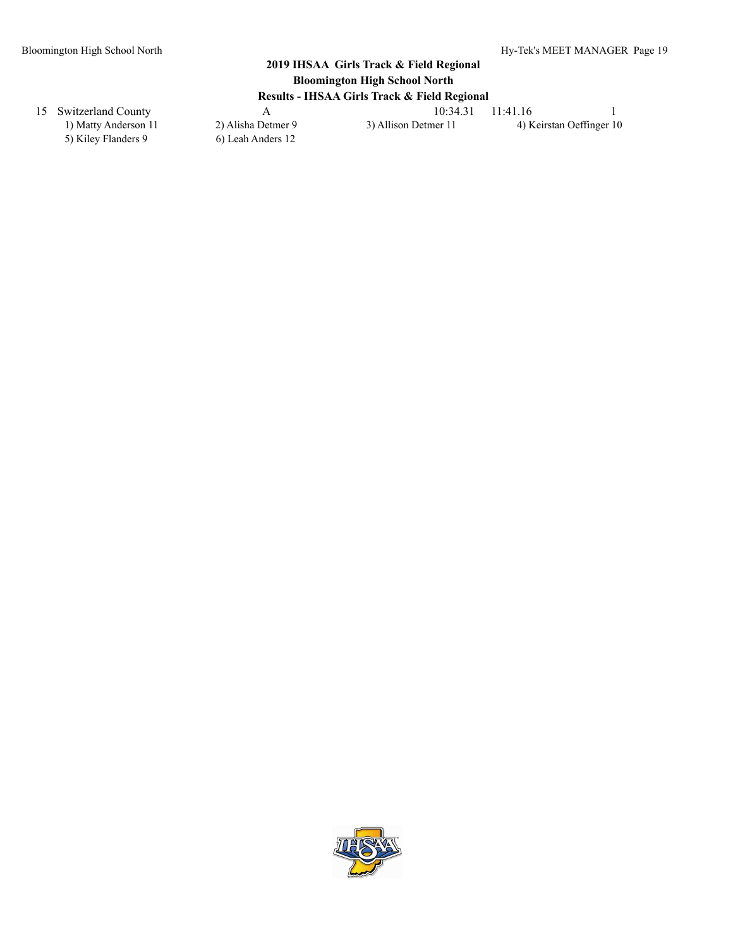15 Switzerland County A 10:34.31 11:41.16 1

5) Kiley Flanders 9 6) Leah Anders 12

1) Matty Anderson 11 2) Alisha Detmer 9 3) Allison Detmer 11 4) Keirstan Oeffinger 10

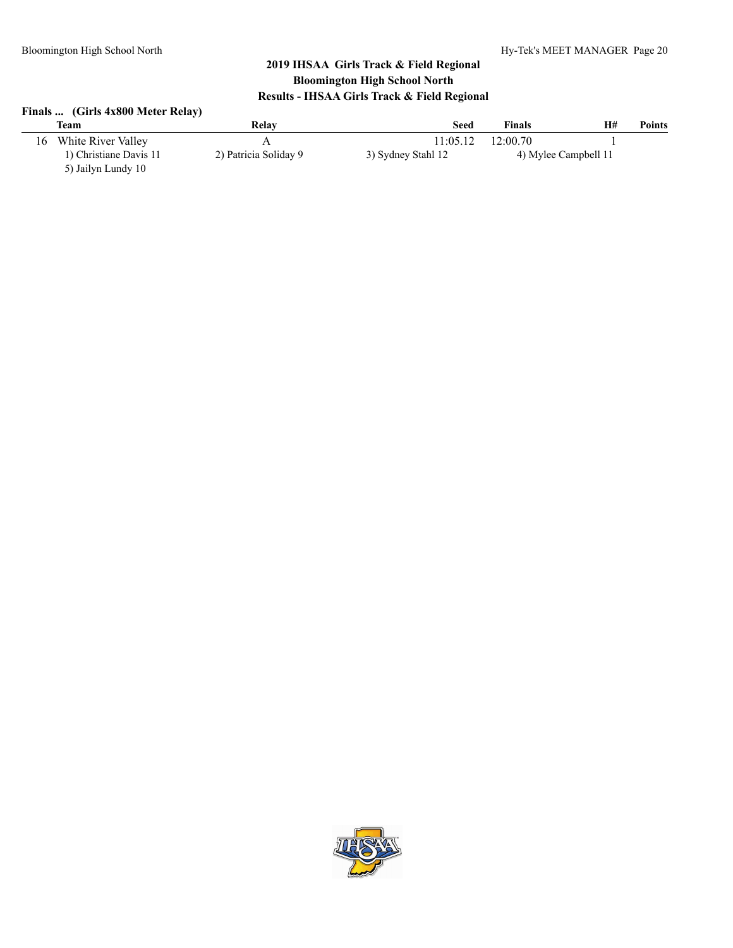| Finals  (Girls 4x800 Meter Relay) |  |  |  |  |
|-----------------------------------|--|--|--|--|
|-----------------------------------|--|--|--|--|

|    | <b>Team</b>            | Relay                 | <b>Seed</b>        | <b>Finals</b> | H#                   | Points |
|----|------------------------|-----------------------|--------------------|---------------|----------------------|--------|
| 16 | White River Valley     |                       | 11:05.12           | 12:00.70      |                      |        |
|    | 1) Christiane Davis 11 | 2) Patricia Soliday 9 | 3) Sydney Stahl 12 |               | 4) Mylee Campbell 11 |        |
|    | 5) Jailyn Lundy 10     |                       |                    |               |                      |        |

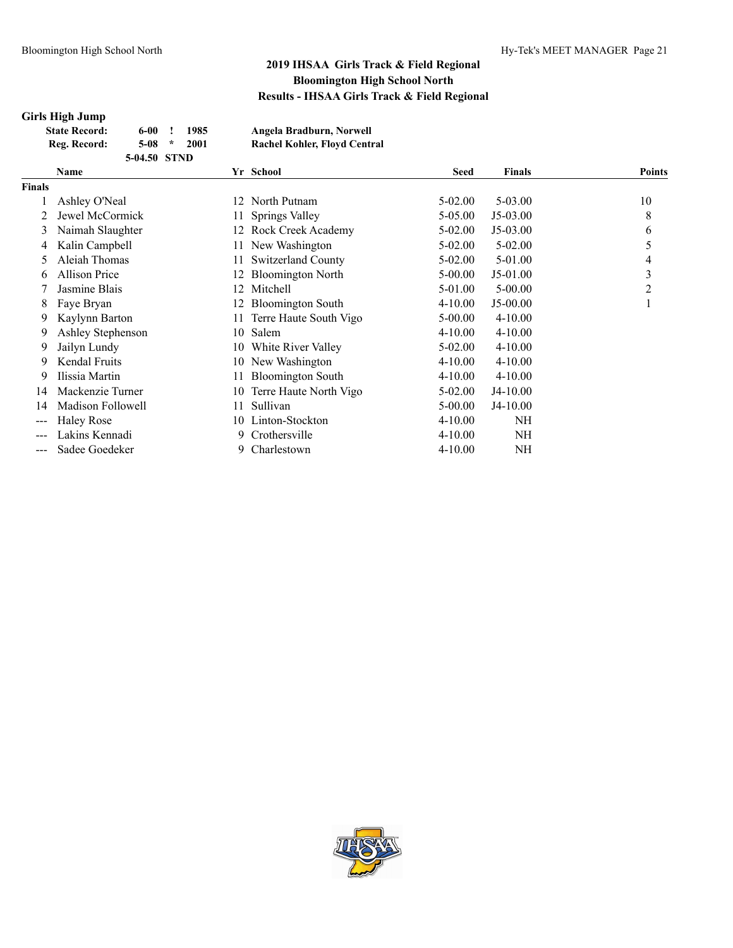### **Girls High Jump**

| <b>State Record:</b> | 6-00         |         | 1985 | Angela Bradburn, Norwell     |
|----------------------|--------------|---------|------|------------------------------|
| Reg. Record:         | 5-08         | $\star$ | 2001 | Rachel Kohler, Floyd Central |
|                      | 5-04.50 STND |         |      |                              |

|               | Name                 |      | Yr School                | <b>Seed</b> | <b>Finals</b> | <b>Points</b>  |
|---------------|----------------------|------|--------------------------|-------------|---------------|----------------|
| <b>Finals</b> |                      |      |                          |             |               |                |
|               | Ashley O'Neal        | 12   | North Putnam             | $5 - 02.00$ | $5 - 03.00$   | 10             |
|               | Jewel McCormick      | 11 - | Springs Valley           | 5-05.00     | J5-03.00      | 8              |
| 3             | Naimah Slaughter     |      | Rock Creek Academy       | $5-02.00$   | $J5-03.00$    | 6              |
| 4             | Kalin Campbell       | 11   | New Washington           | $5 - 02.00$ | $5 - 02.00$   | 5              |
| $\mathcal{D}$ | Aleiah Thomas        | 11   | Switzerland County       | $5-02.00$   | 5-01.00       | 4              |
| 6             | <b>Allison Price</b> |      | <b>Bloomington North</b> | $5 - 00.00$ | J5-01.00      | 3              |
|               | Jasmine Blais        | 12   | Mitchell                 | 5-01.00     | $5 - 00.00$   | $\overline{2}$ |
| 8             | Faye Bryan           | 12   | <b>Bloomington South</b> | $4 - 10.00$ | J5-00.00      |                |
| 9             | Kaylynn Barton       | 11   | Terre Haute South Vigo   | $5 - 00.00$ | $4 - 10.00$   |                |
| 9             | Ashley Stephenson    | 10   | Salem                    | $4 - 10.00$ | $4 - 10.00$   |                |
| 9             | Jailyn Lundy         | 10   | White River Valley       | $5-02.00$   | $4 - 10.00$   |                |
| 9             | Kendal Fruits        | 10   | New Washington           | $4 - 10.00$ | $4 - 10.00$   |                |
| 9             | Ilissia Martin       | 11   | <b>Bloomington South</b> | $4 - 10.00$ | $4 - 10.00$   |                |
| 14            | Mackenzie Turner     | 10   | Terre Haute North Vigo   | $5-02.00$   | J4-10.00      |                |
| 14            | Madison Followell    | 11   | Sullivan                 | $5 - 00.00$ | J4-10.00      |                |
| ---           | <b>Haley Rose</b>    | 10   | Linton-Stockton          | $4 - 10.00$ | NH            |                |
|               | Lakins Kennadi       | 9    | Crothersville            | $4 - 10.00$ | <b>NH</b>     |                |
|               | Sadee Goedeker       | 9.   | Charlestown              | $4 - 10.00$ | NH            |                |

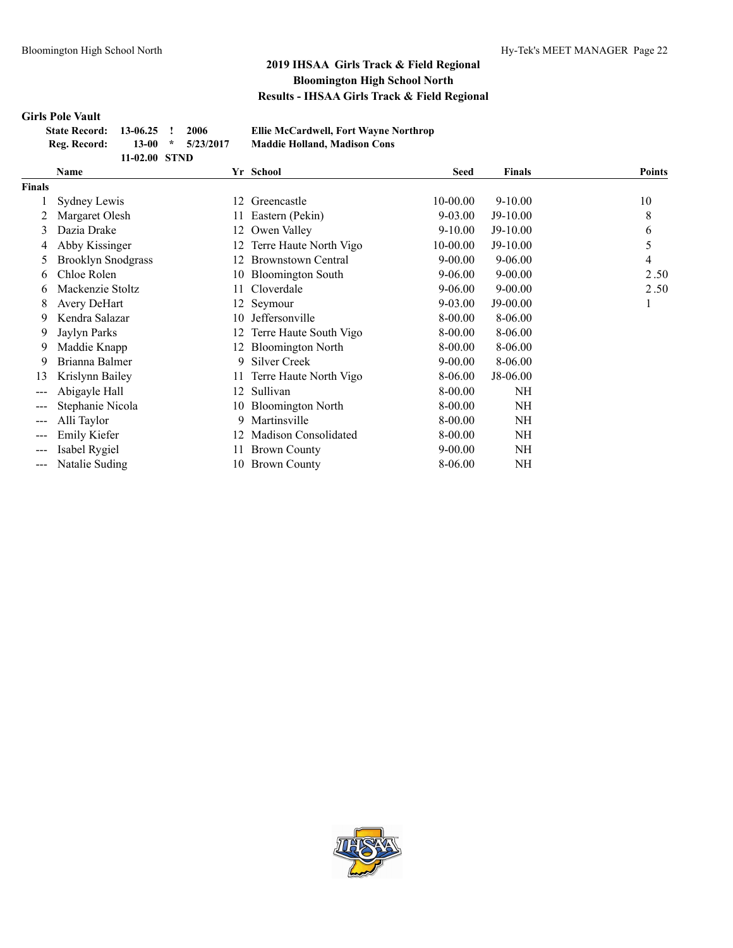### **Girls Pole Vault**

| State Record: 13-06.25 ! 2006 |               |  |                         |
|-------------------------------|---------------|--|-------------------------|
| Reg. Record:                  | $13-00$       |  | $\frac{1}{2}$ 5/23/2017 |
|                               | 11-02.00 STND |  |                         |

**State Record: 13-06.25 ! 2006 Ellie McCardwell, Fort Wayne Northrop Reg. Record: 13-00 \* 5/23/2017 Maddie Holland, Madison Cons**

|               | Name                      |    | Yr School                 | Seed        | <b>Finals</b> | <b>Points</b> |
|---------------|---------------------------|----|---------------------------|-------------|---------------|---------------|
| <b>Finals</b> |                           |    |                           |             |               |               |
|               | Sydney Lewis              | 12 | Greencastle               | 10-00.00    | $9 - 10.00$   | 10            |
|               | Margaret Olesh            |    | Eastern (Pekin)           | $9 - 03.00$ | $J9-10.00$    | 8             |
| 3             | Dazia Drake               | 12 | Owen Valley               | $9-10.00$   | $J9-10.00$    | 6             |
| 4             | Abby Kissinger            | 12 | Terre Haute North Vigo    | 10-00.00    | J9-10.00      | 5             |
| 5             | <b>Brooklyn Snodgrass</b> | 12 | <b>Brownstown Central</b> | $9 - 00.00$ | $9 - 06.00$   | 4             |
| 6             | Chloe Rolen               | 10 | <b>Bloomington South</b>  | $9 - 06.00$ | $9 - 00.00$   | 2.50          |
| 6             | Mackenzie Stoltz          | 11 | Cloverdale                | $9 - 06.00$ | $9 - 00.00$   | 2.50          |
| 8             | <b>Avery DeHart</b>       |    | 12 Seymour                | $9 - 03.00$ | J9-00.00      | 1             |
| 9             | Kendra Salazar            | 10 | Jeffersonville            | 8-00.00     | 8-06.00       |               |
| 9             | Jaylyn Parks              | 12 | Terre Haute South Vigo    | 8-00.00     | 8-06.00       |               |
| 9             | Maddie Knapp              |    | <b>Bloomington North</b>  | 8-00.00     | 8-06.00       |               |
| 9             | Brianna Balmer            | 9  | <b>Silver Creek</b>       | $9 - 00.00$ | 8-06.00       |               |
| 13            | Krislynn Bailey           |    | Terre Haute North Vigo    | 8-06.00     | J8-06.00      |               |
| ---           | Abigayle Hall             | 12 | Sullivan                  | 8-00.00     | NH            |               |
|               | Stephanie Nicola          | 10 | <b>Bloomington North</b>  | 8-00.00     | <b>NH</b>     |               |
| ---           | Alli Taylor               | 9  | Martinsville              | 8-00.00     | <b>NH</b>     |               |
| ---           | Emily Kiefer              | 12 | Madison Consolidated      | 8-00.00     | <b>NH</b>     |               |
|               | Isabel Rygiel             |    | <b>Brown County</b>       | $9 - 00.00$ | NH            |               |
| $---$         | Natalie Suding            | 10 | <b>Brown County</b>       | 8-06.00     | <b>NH</b>     |               |
|               |                           |    |                           |             |               |               |

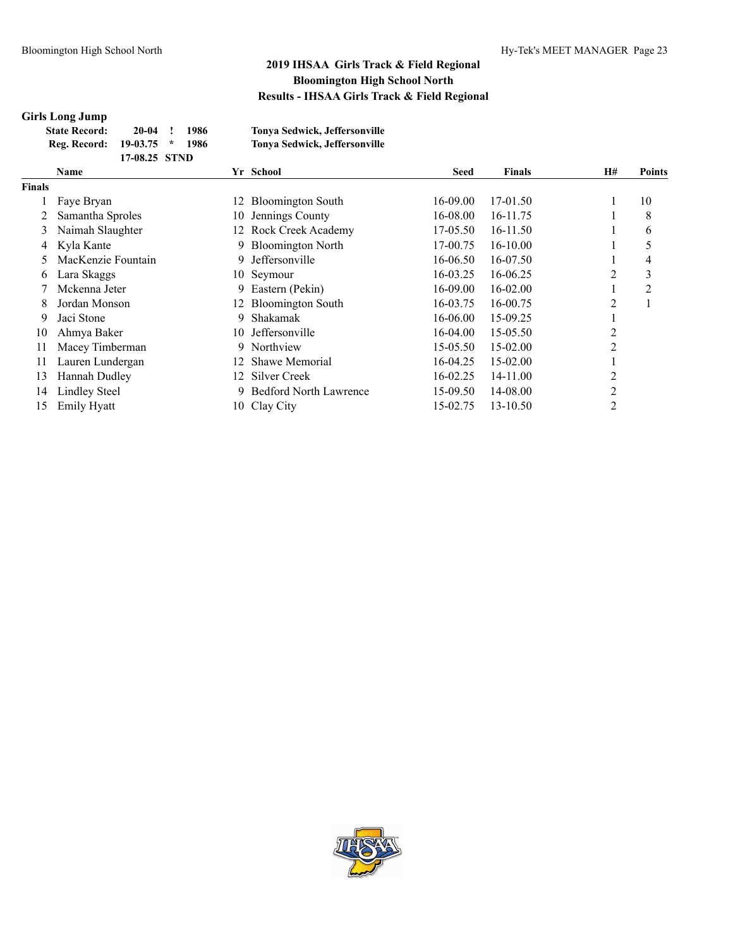# **Girls Long Jump**

| <b>State Record:</b>    | 20-04         | $\mathbf{I}$ | 1986  | Tonya Sedwick, Jeffersonville |
|-------------------------|---------------|--------------|-------|-------------------------------|
| Reg. Record: 19-03.75 * |               |              | -1986 | Tonya Sedwick, Jeffersonville |
|                         | 17-08.25 STND |              |       |                               |

| Name                 |    |                               | <b>Seed</b>                                                                                                                            | <b>Finals</b> | <b>H#</b>      | <b>Points</b>  |
|----------------------|----|-------------------------------|----------------------------------------------------------------------------------------------------------------------------------------|---------------|----------------|----------------|
|                      |    |                               |                                                                                                                                        |               |                |                |
| Faye Bryan           |    | <b>Bloomington South</b>      | 16-09.00                                                                                                                               | 17-01.50      |                | 10             |
| Samantha Sproles     |    | Jennings County               | 16-08.00                                                                                                                               | 16-11.75      |                | 8              |
| Naimah Slaughter     |    |                               | 17-05.50                                                                                                                               | 16-11.50      |                | 6              |
| Kyla Kante           | 9. | <b>Bloomington North</b>      | 17-00.75                                                                                                                               | 16-10.00      |                | 5              |
| MacKenzie Fountain   | 9. | Jeffersonville                | 16-06.50                                                                                                                               | 16-07.50      |                | 4              |
| Lara Skaggs          |    |                               | 16-03.25                                                                                                                               | 16-06.25      | 2              | 3              |
| Mckenna Jeter        | 9. | Eastern (Pekin)               | 16-09.00                                                                                                                               | 16-02.00      |                | $\overline{2}$ |
| Jordan Monson        |    |                               | 16-03.75                                                                                                                               | 16-00.75      | 2              |                |
| Jaci Stone           | 9. | Shakamak                      | 16-06.00                                                                                                                               | 15-09.25      |                |                |
| Ahmya Baker          | 10 | Jeffersonville                | 16-04.00                                                                                                                               | 15-05.50      | $\overline{2}$ |                |
| Macey Timberman      |    |                               | 15-05.50                                                                                                                               | 15-02.00      | $\overline{2}$ |                |
| Lauren Lundergan     |    | Shawe Memorial                | 16-04.25                                                                                                                               | 15-02.00      |                |                |
| Hannah Dudley        |    | Silver Creek                  | 16-02.25                                                                                                                               | 14-11.00      | 2              |                |
| <b>Lindley Steel</b> |    | <b>Bedford North Lawrence</b> | 15-09.50                                                                                                                               | 14-08.00      | $\overline{2}$ |                |
| <b>Emily Hyatt</b>   |    |                               | 15-02.75                                                                                                                               | 13-10.50      | $\overline{c}$ |                |
|                      |    |                               | Yr School<br>12.<br>10-<br>12 Rock Creek Academy<br>10 Seymour<br>12 Bloomington South<br>Northview<br>9.<br>12.<br>12<br>10 Clay City |               |                |                |

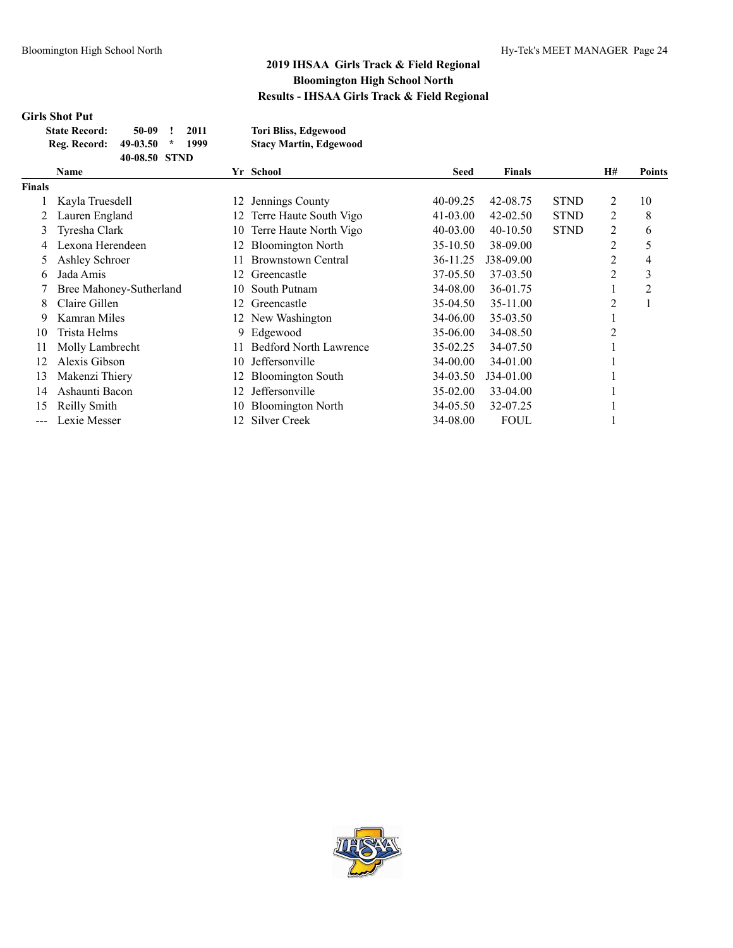### **Girls Shot Put**

| <b>State Record:</b> | 50-09         |         | 2011 | <b>Tori Bliss, Edgewood</b>   |
|----------------------|---------------|---------|------|-------------------------------|
| Reg. Record:         | 49-03.50      | $\star$ | 1999 | <b>Stacy Martin, Edgewood</b> |
|                      | 40-08.50 STND |         |      |                               |

|                            | Name                    |     | Yr School                     | <b>Seed</b>  | <b>Finals</b> |             | H# | <b>Points</b>  |
|----------------------------|-------------------------|-----|-------------------------------|--------------|---------------|-------------|----|----------------|
| <b>Finals</b>              |                         |     |                               |              |               |             |    |                |
|                            | Kayla Truesdell         | 12  | Jennings County               | 40-09.25     | 42-08.75      | <b>STND</b> | 2  | 10             |
|                            | Lauren England          | 12. | Terre Haute South Vigo        | $41 - 03.00$ | $42 - 02.50$  | <b>STND</b> | 2  | 8              |
| 3                          | Tyresha Clark           | 10  | Terre Haute North Vigo        | $40 - 03.00$ | $40 - 10.50$  | <b>STND</b> | 2  | 6              |
| 4                          | Lexona Herendeen        | 12. | <b>Bloomington North</b>      | 35-10.50     | 38-09.00      |             | 2  | 5              |
| 5                          | Ashley Schroer          |     | <b>Brownstown Central</b>     | 36-11.25     | J38-09.00     |             | 2  | 4              |
| 6                          | Jada Amis               | 12. | Greencastle                   | 37-05.50     | 37-03.50      |             | 2  | 3              |
|                            | Bree Mahoney-Sutherland | 10. | South Putnam                  | 34-08.00     | 36-01.75      |             |    | $\overline{2}$ |
| 8                          | Claire Gillen           | 12. | Greencastle                   | 35-04.50     | 35-11.00      |             | 2  |                |
| 9                          | Kamran Miles            |     | 12 New Washington             | 34-06.00     | 35-03.50      |             |    |                |
| 10                         | Trista Helms            | 9.  | Edgewood                      | 35-06.00     | 34-08.50      |             |    |                |
| 11                         | Molly Lambrecht         | 11. | <b>Bedford North Lawrence</b> | 35-02.25     | 34-07.50      |             |    |                |
| 12                         | Alexis Gibson           | 10. | <b>Jeffersonville</b>         | 34-00.00     | 34-01.00      |             |    |                |
| 13                         | Makenzi Thiery          | 12. | <b>Bloomington South</b>      | 34-03.50     | J34-01.00     |             |    |                |
| 14                         | Ashaunti Bacon          | 12. | Jeffersonville                | 35-02.00     | 33-04.00      |             |    |                |
| 15                         | Reilly Smith            | 10  | <b>Bloomington North</b>      | 34-05.50     | 32-07.25      |             |    |                |
| $\qquad \qquad - \qquad -$ | Lexie Messer            | 12. | Silver Creek                  | 34-08.00     | <b>FOUL</b>   |             |    |                |

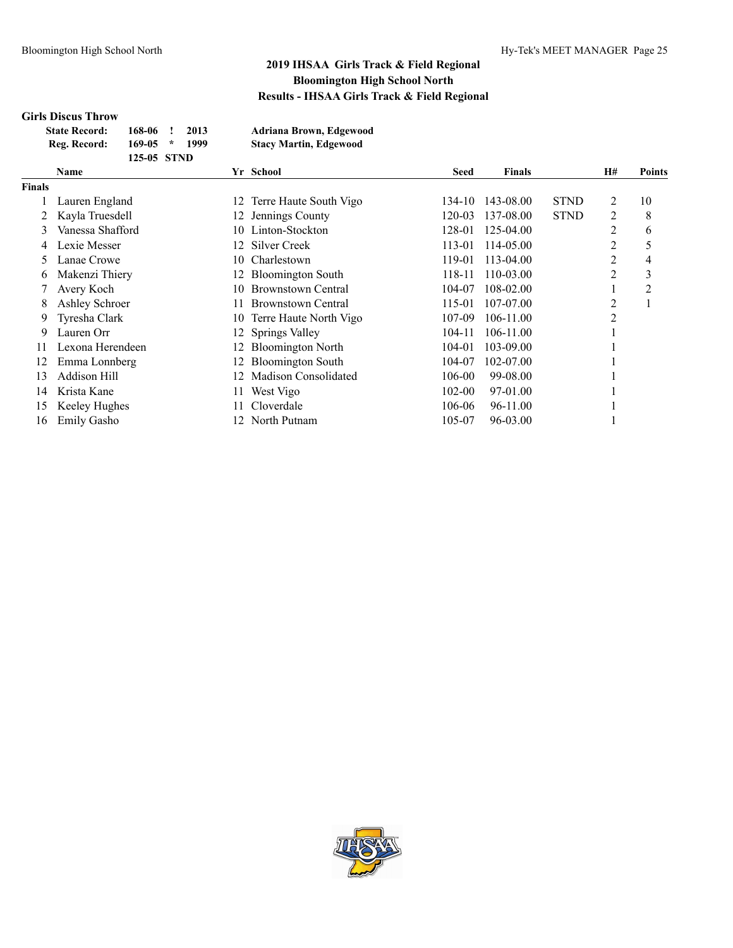# **Girls Discus Throw**

| <b>State Record:</b> | 168-06 !    | 2013 | Adriana Brown, Edgewood       |
|----------------------|-------------|------|-------------------------------|
| Reg. Record:         | $169-05$ *  | 1999 | <b>Stacy Martin, Edgewood</b> |
|                      | 125-05 STND |      |                               |

|               | <b>Name</b>        |     | Yr School                 | Seed   | <b>Finals</b> |             | <b>H#</b>      | <b>Points</b> |
|---------------|--------------------|-----|---------------------------|--------|---------------|-------------|----------------|---------------|
| <b>Finals</b> |                    |     |                           |        |               |             |                |               |
|               | Lauren England     | 12  | Terre Haute South Vigo    | 134-10 | 143-08.00     | <b>STND</b> | 2              | 10            |
|               | Kayla Truesdell    |     | 12 Jennings County        | 120-03 | 137-08.00     | <b>STND</b> | 2              | 8             |
| 3             | Vanessa Shafford   | 10. | Linton-Stockton           | 128-01 | 125-04.00     |             | 2              | 6             |
|               | Lexie Messer       |     | 12 Silver Creek           | 113-01 | 114-05.00     |             | $\overline{2}$ | 5             |
|               | Lanae Crowe        |     | 10 Charlestown            | 119-01 | 113-04.00     |             | 2              | 4             |
| O.            | Makenzi Thiery     | 12  | <b>Bloomington South</b>  | 118-11 | 110-03.00     |             | 2              | 3             |
|               | Avery Koch         | 10  | <b>Brownstown Central</b> | 104-07 | 108-02.00     |             |                | 2             |
| 8             | Ashley Schroer     | 11. | <b>Brownstown Central</b> | 115-01 | 107-07.00     |             | 2              |               |
| 9             | Tyresha Clark      |     | 10 Terre Haute North Vigo | 107-09 | 106-11.00     |             | 2              |               |
| 9             | Lauren Orr         |     | 12 Springs Valley         | 104-11 | 106-11.00     |             |                |               |
| 11            | Lexona Herendeen   | 12  | <b>Bloomington North</b>  | 104-01 | 103-09.00     |             |                |               |
| 12            | Emma Lonnberg      | 12  | <b>Bloomington South</b>  | 104-07 | 102-07.00     |             |                |               |
| 13            | Addison Hill       | 12  | Madison Consolidated      | 106-00 | 99-08.00      |             |                |               |
| 14            | Krista Kane        | 11  | West Vigo                 | 102-00 | 97-01.00      |             |                |               |
| 15            | Keeley Hughes      |     | Cloverdale                | 106-06 | 96-11.00      |             |                |               |
| 16            | <b>Emily Gasho</b> |     | 12 North Putnam           | 105-07 | 96-03.00      |             |                |               |